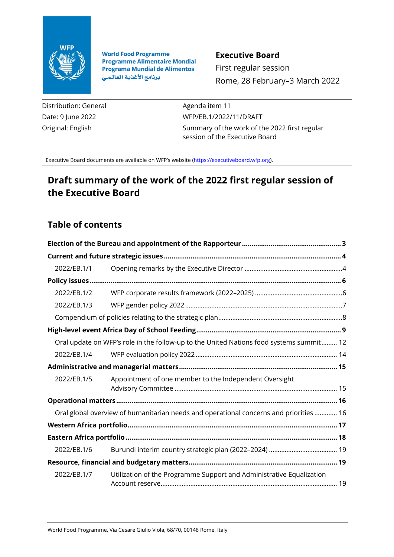

**World Food Programme Programme Alimentaire Mondial Programa Mundial de Alimentos** برنامج الأغذية العالمي

### **Executive Board**

First regular session Rome, 28 February–3 March 2022

Distribution: General Date: 9 June 2022 Original: English

Agenda item 11 WFP/EB.1/2022/11/DRAFT Summary of the work of the 2022 first regular session of the Executive Board

Executive Board documents are available on WFP's website [\(https://executiveboard.wfp.org\).](https://executiveboard.wfp.org/)

# **Draft summary of the work of the 2022 first regular session of the Executive Board**

# **Table of contents**

| 2022/EB.1/1                                                                            |                                                                                         |  |
|----------------------------------------------------------------------------------------|-----------------------------------------------------------------------------------------|--|
|                                                                                        |                                                                                         |  |
| 2022/EB.1/2                                                                            |                                                                                         |  |
| 2022/EB.1/3                                                                            |                                                                                         |  |
|                                                                                        |                                                                                         |  |
|                                                                                        |                                                                                         |  |
|                                                                                        | Oral update on WFP's role in the follow-up to the United Nations food systems summit 12 |  |
| 2022/EB.1/4                                                                            |                                                                                         |  |
|                                                                                        |                                                                                         |  |
| 2022/EB.1/5                                                                            | Appointment of one member to the Independent Oversight                                  |  |
|                                                                                        |                                                                                         |  |
| Oral global overview of humanitarian needs and operational concerns and priorities  16 |                                                                                         |  |
|                                                                                        |                                                                                         |  |
|                                                                                        |                                                                                         |  |
| 2022/EB.1/6                                                                            |                                                                                         |  |
|                                                                                        |                                                                                         |  |
| 2022/EB.1/7                                                                            | Utilization of the Programme Support and Administrative Equalization                    |  |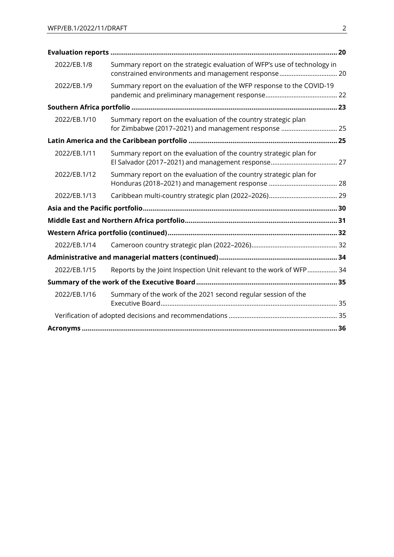| 2022/EB.1/8  | Summary report on the strategic evaluation of WFP's use of technology in<br>constrained environments and management response 20 |  |
|--------------|---------------------------------------------------------------------------------------------------------------------------------|--|
| 2022/EB.1/9  | Summary report on the evaluation of the WFP response to the COVID-19                                                            |  |
|              |                                                                                                                                 |  |
| 2022/EB.1/10 | Summary report on the evaluation of the country strategic plan<br>for Zimbabwe (2017-2021) and management response  25          |  |
|              |                                                                                                                                 |  |
| 2022/EB.1/11 | Summary report on the evaluation of the country strategic plan for                                                              |  |
| 2022/EB.1/12 | Summary report on the evaluation of the country strategic plan for                                                              |  |
| 2022/EB.1/13 |                                                                                                                                 |  |
|              |                                                                                                                                 |  |
|              |                                                                                                                                 |  |
|              |                                                                                                                                 |  |
| 2022/EB.1/14 |                                                                                                                                 |  |
|              |                                                                                                                                 |  |
| 2022/EB.1/15 | Reports by the Joint Inspection Unit relevant to the work of WFP 34                                                             |  |
|              |                                                                                                                                 |  |
| 2022/EB.1/16 | Summary of the work of the 2021 second regular session of the                                                                   |  |
|              |                                                                                                                                 |  |
|              |                                                                                                                                 |  |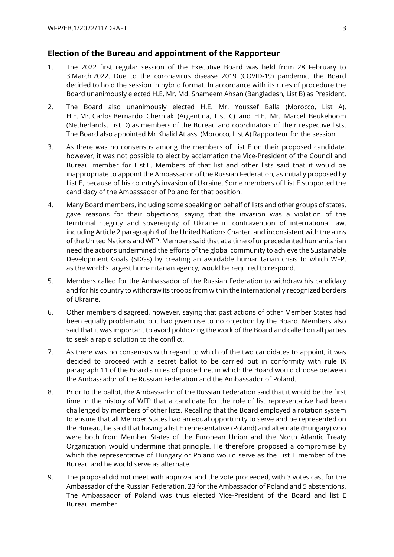### <span id="page-2-0"></span>**Election of the Bureau and appointment of the Rapporteur**

- 1. The 2022 first regular session of the Executive Board was held from 28 February to 3 March 2022. Due to the coronavirus disease 2019 (COVID-19) pandemic, the Board decided to hold the session in hybrid format. In accordance with its rules of procedure the Board unanimously elected H.E. Mr. Md. Shameem Ahsan (Bangladesh, List B) as President.
- 2. The Board also unanimously elected H.E. Mr. Youssef Balla (Morocco, List A), H.E. Mr. Carlos Bernardo Cherniak (Argentina, List C) and H.E. Mr. Marcel Beukeboom (Netherlands, List D) as members of the Bureau and coordinators of their respective lists. The Board also appointed Mr Khalid Atlassi (Morocco, List A) Rapporteur for the session.
- 3. As there was no consensus among the members of List E on their proposed candidate, however, it was not possible to elect by acclamation the Vice-President of the Council and Bureau member for List E. Members of that list and other lists said that it would be inappropriate to appoint the Ambassador of the Russian Federation, as initially proposed by List E, because of his country's invasion of Ukraine. Some members of List E supported the candidacy of the Ambassador of Poland for that position.
- 4. Many Board members, including some speaking on behalf of lists and other groups of states, gave reasons for their objections, saying that the invasion was a violation of the territorial integrity and sovereignty of Ukraine in contravention of international law, including Article 2 paragraph 4 of the United Nations Charter, and inconsistent with the aims of the United Nations and WFP. Members said that at a time of unprecedented humanitarian need the actions undermined the efforts of the global community to achieve the Sustainable Development Goals (SDGs) by creating an avoidable humanitarian crisis to which WFP, as the world's largest humanitarian agency, would be required to respond.
- 5. Members called for the Ambassador of the Russian Federation to withdraw his candidacy and for his country to withdraw its troops from within the internationally recognized borders of Ukraine.
- 6. Other members disagreed, however, saying that past actions of other Member States had been equally problematic but had given rise to no objection by the Board. Members also said that it was important to avoid politicizing the work of the Board and called on all parties to seek a rapid solution to the conflict.
- 7. As there was no consensus with regard to which of the two candidates to appoint, it was decided to proceed with a secret ballot to be carried out in conformity with rule IX paragraph 11 of the Board's rules of procedure, in which the Board would choose between the Ambassador of the Russian Federation and the Ambassador of Poland.
- 8. Prior to the ballot, the Ambassador of the Russian Federation said that it would be the first time in the history of WFP that a candidate for the role of list representative had been challenged by members of other lists. Recalling that the Board employed a rotation system to ensure that all Member States had an equal opportunity to serve and be represented on the Bureau, he said that having a list E representative (Poland) and alternate (Hungary) who were both from Member States of the European Union and the North Atlantic Treaty Organization would undermine that principle. He therefore proposed a compromise by which the representative of Hungary or Poland would serve as the List E member of the Bureau and he would serve as alternate.
- 9. The proposal did not meet with approval and the vote proceeded, with 3 votes cast for the Ambassador of the Russian Federation, 23 for the Ambassador of Poland and 5 abstentions. The Ambassador of Poland was thus elected Vice-President of the Board and list E Bureau member.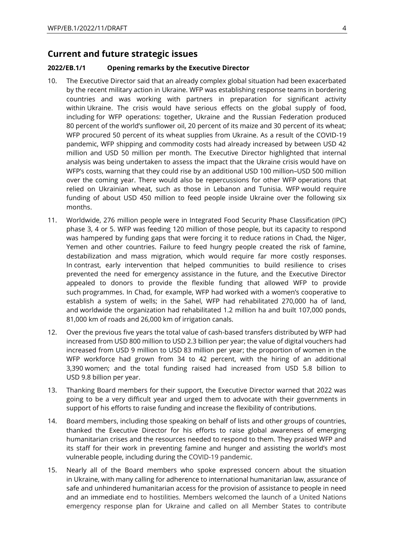### <span id="page-3-0"></span>**Current and future strategic issues**

#### <span id="page-3-1"></span>**2022/EB.1/1 Opening remarks by the Executive Director**

- 10. The Executive Director said that an already complex global situation had been exacerbated by the recent military action in Ukraine. WFP was establishing response teams in bordering countries and was working with partners in preparation for significant activity within Ukraine. The crisis would have serious effects on the global supply of food, including for WFP operations: together, Ukraine and the Russian Federation produced 80 percent of the world's sunflower oil, 20 percent of its maize and 30 percent of its wheat; WFP procured 50 percent of its wheat supplies from Ukraine. As a result of the COVID-19 pandemic, WFP shipping and commodity costs had already increased by between USD 42 million and USD 50 million per month. The Executive Director highlighted that internal analysis was being undertaken to assess the impact that the Ukraine crisis would have on WFP's costs, warning that they could rise by an additional USD 100 million–USD 500 million over the coming year. There would also be repercussions for other WFP operations that relied on Ukrainian wheat, such as those in Lebanon and Tunisia. WFP would require funding of about USD 450 million to feed people inside Ukraine over the following six months.
- 11. Worldwide, 276 million people were in Integrated Food Security Phase Classification (IPC) phase 3, 4 or 5. WFP was feeding 120 million of those people, but its capacity to respond was hampered by funding gaps that were forcing it to reduce rations in Chad, the Niger, Yemen and other countries. Failure to feed hungry people created the risk of famine, destabilization and mass migration, which would require far more costly responses. In contrast, early intervention that helped communities to build resilience to crises prevented the need for emergency assistance in the future, and the Executive Director appealed to donors to provide the flexible funding that allowed WFP to provide such programmes. In Chad, for example, WFP had worked with a women's cooperative to establish a system of wells; in the Sahel, WFP had rehabilitated 270,000 ha of land, and worldwide the organization had rehabilitated 1.2 million ha and built 107,000 ponds, 81,000 km of roads and 26,000 km of irrigation canals.
- 12. Over the previous five years the total value of cash-based transfers distributed by WFP had increased from USD 800 million to USD 2.3 billion per year; the value of digital vouchers had increased from USD 9 million to USD 83 million per year; the proportion of women in the WFP workforce had grown from 34 to 42 percent, with the hiring of an additional 3,390 women; and the total funding raised had increased from USD 5.8 billion to USD 9.8 billion per year.
- 13. Thanking Board members for their support, the Executive Director warned that 2022 was going to be a very difficult year and urged them to advocate with their governments in support of his efforts to raise funding and increase the flexibility of contributions.
- 14. Board members, including those speaking on behalf of lists and other groups of countries, thanked the Executive Director for his efforts to raise global awareness of emerging humanitarian crises and the resources needed to respond to them. They praised WFP and its staff for their work in preventing famine and hunger and assisting the world's most vulnerable people, including during the COVID-19 pandemic.
- 15. Nearly all of the Board members who spoke expressed concern about the situation in Ukraine, with many calling for adherence to international humanitarian law, assurance of safe and unhindered humanitarian access for the provision of assistance to people in need and an immediate end to hostilities. Members welcomed the launch of a United Nations emergency response plan for Ukraine and called on all Member States to contribute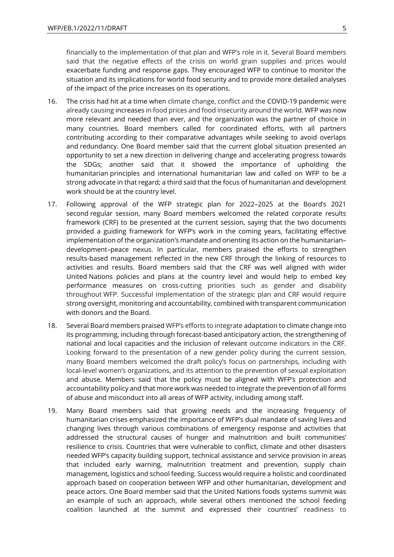financially to the implementation of that plan and WFP's role in it. Several Board members said that the negative effects of the crisis on world grain supplies and prices would exacerbate funding and response gaps. They encouraged WFP to continue to monitor the situation and its implications for world food security and to provide more detailed analyses of the impact of the price increases on its operations.

- 16. The crisis had hit at a time when climate change, conflict and the COVID-19 pandemic were already causing increases in food prices and food insecurity around the world. WFP was now more relevant and needed than ever, and the organization was the partner of choice in many countries. Board members called for coordinated efforts, with all partners contributing according to their comparative advantages while seeking to avoid overlaps and redundancy. One Board member said that the current global situation presented an opportunity to set a new direction in delivering change and accelerating progress towards the SDGs; another said that it showed the importance of upholding the humanitarian principles and international humanitarian law and called on WFP to be a strong advocate in that regard; a third said that the focus of humanitarian and development work should be at the country level.
- 17. Following approval of the WFP strategic plan for 2022–2025 at the Board's 2021 second regular session, many Board members welcomed the related corporate results framework (CRF) to be presented at the current session, saying that the two documents provided a guiding framework for WFP's work in the coming years, facilitating effective implementation of the organization's mandate and orienting its action on the humanitarian– development–peace nexus. In particular, members praised the efforts to strengthen results-based management reflected in the new CRF through the linking of resources to activities and results. Board members said that the CRF was well aligned with wider United Nations policies and plans at the country level and would help to embed key performance measures on cross-cutting priorities such as gender and disability throughout WFP. Successful implementation of the strategic plan and CRF would require strong oversight, monitoring and accountability, combined with transparent communication with donors and the Board.
- 18. Several Board members praised WFP's efforts to integrate adaptation to climate change into its programming, including through forecast-based anticipatory action, the strengthening of national and local capacities and the inclusion of relevant outcome indicators in the CRF. Looking forward to the presentation of a new gender policy during the current session, many Board members welcomed the draft policy's focus on partnerships, including with local-level women's organizations, and its attention to the prevention of sexual exploitation and abuse. Members said that the policy must be aligned with WFP's protection and accountability policy and that more work was needed to integrate the prevention of all forms of abuse and misconduct into all areas of WFP activity, including among staff.
- 19. Many Board members said that growing needs and the increasing frequency of humanitarian crises emphasized the importance of WFP's dual mandate of saving lives and changing lives through various combinations of emergency response and activities that addressed the structural causes of hunger and malnutrition and built communities' resilience to crisis. Countries that were vulnerable to conflict, climate and other disasters needed WFP's capacity building support, technical assistance and service provision in areas that included early warning, malnutrition treatment and prevention, supply chain management, logistics and school feeding. Success would require a holistic and coordinated approach based on cooperation between WFP and other humanitarian, development and peace actors. One Board member said that the United Nations foods systems summit was an example of such an approach, while several others mentioned the school feeding coalition launched at the summit and expressed their countries' readiness to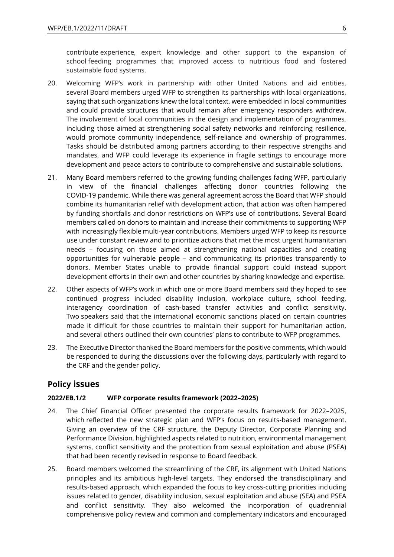contribute experience, expert knowledge and other support to the expansion of school feeding programmes that improved access to nutritious food and fostered sustainable food systems.

- 20. Welcoming WFP's work in partnership with other United Nations and aid entities, several Board members urged WFP to strengthen its partnerships with local organizations, saying that such organizations knew the local context, were embedded in local communities and could provide structures that would remain after emergency responders withdrew. The involvement of local communities in the design and implementation of programmes, including those aimed at strengthening social safety networks and reinforcing resilience, would promote community independence, self-reliance and ownership of programmes. Tasks should be distributed among partners according to their respective strengths and mandates, and WFP could leverage its experience in fragile settings to encourage more development and peace actors to contribute to comprehensive and sustainable solutions.
- 21. Many Board members referred to the growing funding challenges facing WFP, particularly in view of the financial challenges affecting donor countries following the COVID-19 pandemic. While there was general agreement across the Board that WFP should combine its humanitarian relief with development action, that action was often hampered by funding shortfalls and donor restrictions on WFP's use of contributions. Several Board members called on donors to maintain and increase their commitments to supporting WFP with increasingly flexible multi-year contributions. Members urged WFP to keep its resource use under constant review and to prioritize actions that met the most urgent humanitarian needs – focusing on those aimed at strengthening national capacities and creating opportunities for vulnerable people – and communicating its priorities transparently to donors. Member States unable to provide financial support could instead support development efforts in their own and other countries by sharing knowledge and expertise.
- 22. Other aspects of WFP's work in which one or more Board members said they hoped to see continued progress included disability inclusion, workplace culture, school feeding, interagency coordination of cash-based transfer activities and conflict sensitivity. Two speakers said that the international economic sanctions placed on certain countries made it difficult for those countries to maintain their support for humanitarian action, and several others outlined their own countries' plans to contribute to WFP programmes.
- 23. The Executive Director thanked the Board members for the positive comments, which would be responded to during the discussions over the following days, particularly with regard to the CRF and the gender policy.

### <span id="page-5-0"></span>**Policy issues**

### <span id="page-5-1"></span>**2022/EB.1/2 WFP corporate results framework (2022–2025)**

- 24. The Chief Financial Officer presented the corporate results framework for 2022–2025, which reflected the new strategic plan and WFP's focus on results-based management. Giving an overview of the CRF structure, the Deputy Director, Corporate Planning and Performance Division, highlighted aspects related to nutrition, environmental management systems, conflict sensitivity and the protection from sexual exploitation and abuse (PSEA) that had been recently revised in response to Board feedback.
- 25. Board members welcomed the streamlining of the CRF, its alignment with United Nations principles and its ambitious high-level targets. They endorsed the transdisciplinary and results-based approach, which expanded the focus to key cross-cutting priorities including issues related to gender, disability inclusion, sexual exploitation and abuse (SEA) and PSEA and conflict sensitivity. They also welcomed the incorporation of quadrennial comprehensive policy review and common and complementary indicators and encouraged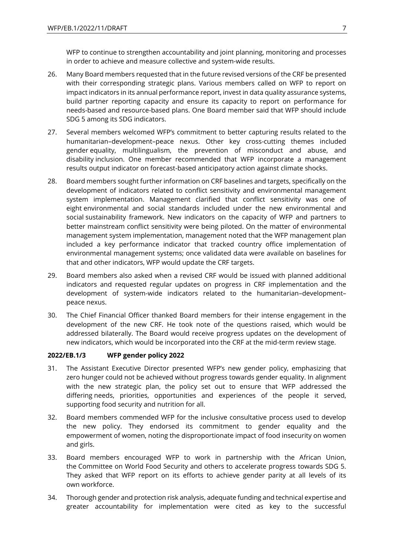WFP to continue to strengthen accountability and joint planning, monitoring and processes in order to achieve and measure collective and system-wide results.

- 26. Many Board members requested that in the future revised versions of the CRF be presented with their corresponding strategic plans. Various members called on WFP to report on impact indicators in its annual performance report, invest in data quality assurance systems, build partner reporting capacity and ensure its capacity to report on performance for needs-based and resource-based plans. One Board member said that WFP should include SDG 5 among its SDG indicators.
- 27. Several members welcomed WFP's commitment to better capturing results related to the humanitarian–development–peace nexus. Other key cross-cutting themes included gender equality, multilingualism, the prevention of misconduct and abuse, and disability inclusion. One member recommended that WFP incorporate a management results output indicator on forecast-based anticipatory action against climate shocks.
- 28. Board members sought further information on CRF baselines and targets, specifically on the development of indicators related to conflict sensitivity and environmental management system implementation. Management clarified that conflict sensitivity was one of eight environmental and social standards included under the new environmental and social sustainability framework. New indicators on the capacity of WFP and partners to better mainstream conflict sensitivity were being piloted. On the matter of environmental management system implementation, management noted that the WFP management plan included a key performance indicator that tracked country office implementation of environmental management systems; once validated data were available on baselines for that and other indicators, WFP would update the CRF targets.
- 29. Board members also asked when a revised CRF would be issued with planned additional indicators and requested regular updates on progress in CRF implementation and the development of system-wide indicators related to the humanitarian–development– peace nexus.
- 30. The Chief Financial Officer thanked Board members for their intense engagement in the development of the new CRF. He took note of the questions raised, which would be addressed bilaterally. The Board would receive progress updates on the development of new indicators, which would be incorporated into the CRF at the mid-term review stage.

#### <span id="page-6-0"></span>**2022/EB.1/3 WFP gender policy 2022**

- 31. The Assistant Executive Director presented WFP's new gender policy, emphasizing that zero hunger could not be achieved without progress towards gender equality. In alignment with the new strategic plan, the policy set out to ensure that WFP addressed the differing needs, priorities, opportunities and experiences of the people it served, supporting food security and nutrition for all.
- 32. Board members commended WFP for the inclusive consultative process used to develop the new policy. They endorsed its commitment to gender equality and the empowerment of women, noting the disproportionate impact of food insecurity on women and girls.
- 33. Board members encouraged WFP to work in partnership with the African Union, the Committee on World Food Security and others to accelerate progress towards SDG 5. They asked that WFP report on its efforts to achieve gender parity at all levels of its own workforce.
- 34. Thorough gender and protection risk analysis, adequate funding and technical expertise and greater accountability for implementation were cited as key to the successful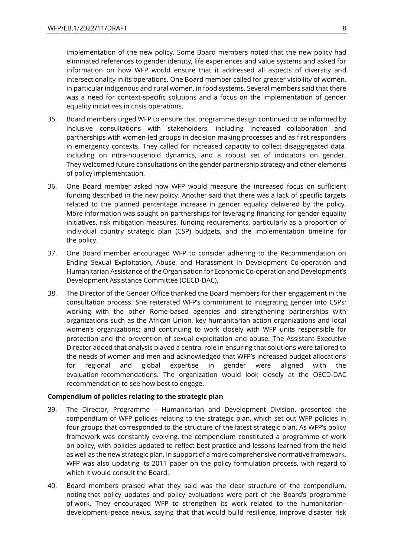implementation of the new policy. Some Board members noted that the new policy had eliminated references to gender identity, life experiences and value systems and asked for information on how WFP would ensure that it addressed all aspects of diversity and intersectionality in its operations. One Board member called for greater visibility of women, in particular indigenous and rural women, in food systems. Several members said that there was a need for context-specific solutions and a focus on the implementation of gender equality initiatives in crisis operations.

- 35. Board members urged WFP to ensure that programme design continued to be informed by inclusive consultations with stakeholders, including increased collaboration and partnerships with women-led groups in decision making processes and as first responders in emergency contexts. They called for increased capacity to collect disaggregated data, including on intra-household dynamics, and a robust set of indicators on gender. They welcomed future consultations on the gender partnership strategy and other elements of policy implementation.
- 36. One Board member asked how WFP would measure the increased focus on sufficient funding described in the new policy. Another said that there was a lack of specific targets related to the planned percentage increase in gender equality delivered by the policy. More information was sought on partnerships for leveraging financing for gender equality initiatives, risk mitigation measures, funding requirements, particularly as a proportion of individual country strategic plan (CSP) budgets, and the implementation timeline for the policy.
- 37. One Board member encouraged WFP to consider adhering to the Recommendation on Ending Sexual Exploitation, Abuse, and Harassment in Development Co-operation and Humanitarian Assistance of the Organisation for Economic Co-operation and Development's Development Assistance Committee (OECD-DAC).
- 38. The Director of the Gender Office thanked the Board members for their engagement in the consultation process. She reiterated WFP's commitment to integrating gender into CSPs; working with the other Rome-based agencies and strengthening partnerships with organizations such as the African Union, key humanitarian action organizations and local women's organizations; and continuing to work closely with WFP units responsible for protection and the prevention of sexual exploitation and abuse. The Assistant Executive Director added that analysis played a central role in ensuring that solutions were tailored to the needs of women and men and acknowledged that WFP's increased budget allocations for regional and global expertise in gender were aligned with the evaluation recommendations. The organization would look closely at the OECD-DAC recommendation to see how best to engage.

#### <span id="page-7-0"></span>**Compendium of policies relating to the strategic plan**

- 39. The Director, Programme Humanitarian and Development Division, presented the compendium of WFP policies relating to the strategic plan, which set out WFP policies in four groups that corresponded to the structure of the latest strategic plan. As WFP's policy framework was constantly evolving, the compendium constituted a programme of work on policy, with policies updated to reflect best practice and lessons learned from the field as well as the new strategic plan. In support of a more comprehensive normative framework, WFP was also updating its 2011 paper on the policy formulation process, with regard to which it would consult the Board.
- 40. Board members praised what they said was the clear structure of the compendium, noting that policy updates and policy evaluations were part of the Board's programme of work. They encouraged WFP to strengthen its work related to the humanitarian– development–peace nexus, saying that that would build resilience, improve disaster risk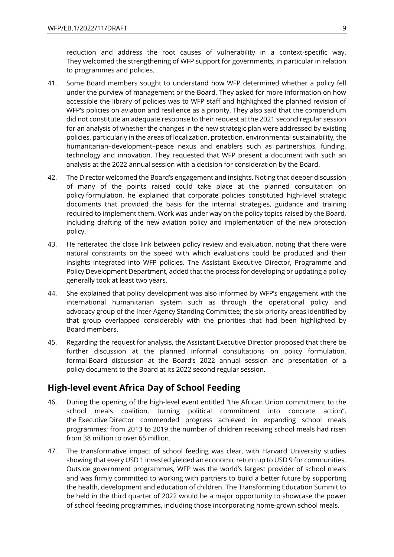reduction and address the root causes of vulnerability in a context-specific way. They welcomed the strengthening of WFP support for governments, in particular in relation to programmes and policies.

- 41. Some Board members sought to understand how WFP determined whether a policy fell under the purview of management or the Board. They asked for more information on how accessible the library of policies was to WFP staff and highlighted the planned revision of WFP's policies on aviation and resilience as a priority. They also said that the compendium did not constitute an adequate response to their request at the 2021 second regular session for an analysis of whether the changes in the new strategic plan were addressed by existing policies, particularly in the areas of localization, protection, environmental sustainability, the humanitarian–development–peace nexus and enablers such as partnerships, funding, technology and innovation. They requested that WFP present a document with such an analysis at the 2022 annual session with a decision for consideration by the Board.
- 42. The Director welcomed the Board's engagement and insights. Noting that deeper discussion of many of the points raised could take place at the planned consultation on policy formulation, he explained that corporate policies constituted high-level strategic documents that provided the basis for the internal strategies, guidance and training required to implement them. Work was under way on the policy topics raised by the Board, including drafting of the new aviation policy and implementation of the new protection policy.
- 43. He reiterated the close link between policy review and evaluation, noting that there were natural constraints on the speed with which evaluations could be produced and their insights integrated into WFP policies. The Assistant Executive Director, Programme and Policy Development Department, added that the process for developing or updating a policy generally took at least two years.
- 44. She explained that policy development was also informed by WFP's engagement with the international humanitarian system such as through the operational policy and advocacy group of the Inter-Agency Standing Committee; the six priority areas identified by that group overlapped considerably with the priorities that had been highlighted by Board members.
- 45. Regarding the request for analysis, the Assistant Executive Director proposed that there be further discussion at the planned informal consultations on policy formulation, formal Board discussion at the Board's 2022 annual session and presentation of a policy document to the Board at its 2022 second regular session.

### <span id="page-8-0"></span>**High-level event Africa Day of School Feeding**

- 46. During the opening of the high-level event entitled "the African Union commitment to the school meals coalition, turning political commitment into concrete action", the Executive Director commended progress achieved in expanding school meals programmes; from 2013 to 2019 the number of children receiving school meals had risen from 38 million to over 65 million.
- 47. The transformative impact of school feeding was clear, with Harvard University studies showing that every USD 1 invested yielded an economic return up to USD 9 for communities. Outside government programmes, WFP was the world's largest provider of school meals and was firmly committed to working with partners to build a better future by supporting the health, development and education of children. The Transforming Education Summit to be held in the third quarter of 2022 would be a major opportunity to showcase the power of school feeding programmes, including those incorporating home-grown school meals.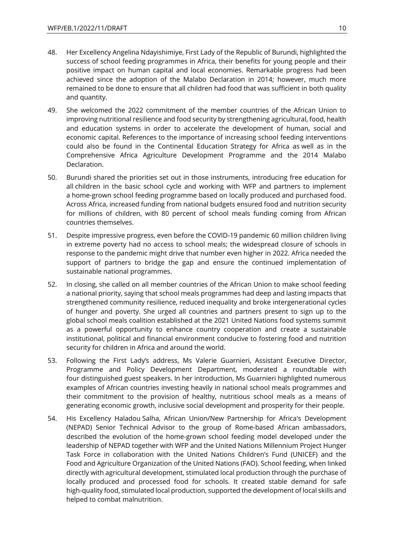- 48. Her Excellency Angelina Ndayishimiye, First Lady of the Republic of Burundi, highlighted the success of school feeding programmes in Africa, their benefits for young people and their positive impact on human capital and local economies. Remarkable progress had been achieved since the adoption of the Malabo Declaration in 2014; however, much more remained to be done to ensure that all children had food that was sufficient in both quality and quantity.
- 49. She welcomed the 2022 commitment of the member countries of the African Union to improving nutritional resilience and food security by strengthening agricultural, food, health and education systems in order to accelerate the development of human, social and economic capital. References to the importance of increasing school feeding interventions could also be found in the Continental Education Strategy for Africa as well as in the Comprehensive Africa Agriculture Development Programme and the 2014 Malabo Declaration.
- 50. Burundi shared the priorities set out in those instruments, introducing free education for all children in the basic school cycle and working with WFP and partners to implement a home-grown school feeding programme based on locally produced and purchased food. Across Africa, increased funding from national budgets ensured food and nutrition security for millions of children, with 80 percent of school meals funding coming from African countries themselves.
- 51. Despite impressive progress, even before the COVID-19 pandemic 60 million children living in extreme poverty had no access to school meals; the widespread closure of schools in response to the pandemic might drive that number even higher in 2022. Africa needed the support of partners to bridge the gap and ensure the continued implementation of sustainable national programmes.
- 52. In closing, she called on all member countries of the African Union to make school feeding a national priority, saying that school meals programmes had deep and lasting impacts that strengthened community resilience, reduced inequality and broke intergenerational cycles of hunger and poverty. She urged all countries and partners present to sign up to the global school meals coalition established at the 2021 United Nations food systems summit as a powerful opportunity to enhance country cooperation and create a sustainable institutional, political and financial environment conducive to fostering food and nutrition security for children in Africa and around the world.
- 53. Following the First Lady's address, Ms Valerie Guarnieri, Assistant Executive Director, Programme and Policy Development Department, moderated a roundtable with four distinguished guest speakers. In her introduction, Ms Guarnieri highlighted numerous examples of African countries investing heavily in national school meals programmes and their commitment to the provision of healthy, nutritious school meals as a means of generating economic growth, inclusive social development and prosperity for their people.
- 54. His Excellency Haladou Salha, African Union/New Partnership for Africa's Development (NEPAD) Senior Technical Advisor to the group of Rome-based African ambassadors, described the evolution of the home-grown school feeding model developed under the leadership of NEPAD together with WFP and the United Nations Millennium Project Hunger Task Force in collaboration with the United Nations Children's Fund (UNICEF) and the Food and Agriculture Organization of the United Nations (FAO). School feeding, when linked directly with agricultural development, stimulated local production through the purchase of locally produced and processed food for schools. It created stable demand for safe high-quality food, stimulated local production, supported the development of local skills and helped to combat malnutrition.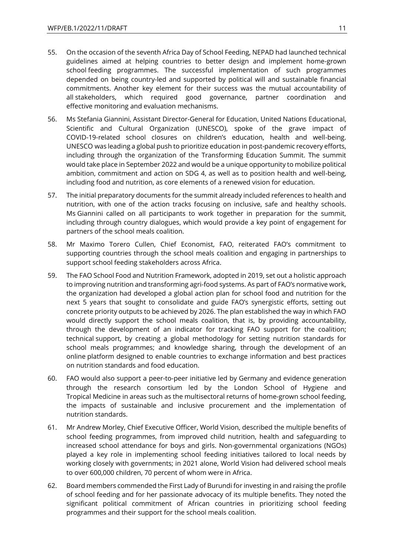- 55. On the occasion of the seventh Africa Day of School Feeding, NEPAD had launched technical guidelines aimed at helping countries to better design and implement home-grown school feeding programmes. The successful implementation of such programmes depended on being country-led and supported by political will and sustainable financial commitments. Another key element for their success was the mutual accountability of all stakeholders, which required good governance, partner coordination and effective monitoring and evaluation mechanisms.
- 56. Ms Stefania Giannini, Assistant Director-General for Education, United Nations Educational, Scientific and Cultural Organization (UNESCO), spoke of the grave impact of COVID-19-related school closures on children's education, health and well-being. UNESCO was leading a global push to prioritize education in post-pandemic recovery efforts, including through the organization of the Transforming Education Summit. The summit would take place in September 2022 and would be a unique opportunity to mobilize political ambition, commitment and action on SDG 4, as well as to position health and well-being, including food and nutrition, as core elements of a renewed vision for education.
- 57. The initial preparatory documents for the summit already included references to health and nutrition, with one of the action tracks focusing on inclusive, safe and healthy schools. Ms Giannini called on all participants to work together in preparation for the summit, including through country dialogues, which would provide a key point of engagement for partners of the school meals coalition.
- 58. Mr Maximo Torero Cullen, Chief Economist, FAO, reiterated FAO's commitment to supporting countries through the school meals coalition and engaging in partnerships to support school feeding stakeholders across Africa.
- 59. The FAO School Food and Nutrition Framework, adopted in 2019, set out a holistic approach to improving nutrition and transforming agri-food systems. As part of FAO's normative work, the organization had developed a global action plan for school food and nutrition for the next 5 years that sought to consolidate and guide FAO's synergistic efforts, setting out concrete priority outputs to be achieved by 2026. The plan established the way in which FAO would directly support the school meals coalition, that is, by providing accountability, through the development of an indicator for tracking FAO support for the coalition; technical support, by creating a global methodology for setting nutrition standards for school meals programmes; and knowledge sharing, through the development of an online platform designed to enable countries to exchange information and best practices on nutrition standards and food education.
- 60. FAO would also support a peer-to-peer initiative led by Germany and evidence generation through the research consortium led by the London School of Hygiene and Tropical Medicine in areas such as the multisectoral returns of home-grown school feeding, the impacts of sustainable and inclusive procurement and the implementation of nutrition standards.
- 61. Mr Andrew Morley, Chief Executive Officer, World Vision, described the multiple benefits of school feeding programmes, from improved child nutrition, health and safeguarding to increased school attendance for boys and girls. Non-governmental organizations (NGOs) played a key role in implementing school feeding initiatives tailored to local needs by working closely with governments; in 2021 alone, World Vision had delivered school meals to over 600,000 children, 70 percent of whom were in Africa.
- 62. Board members commended the First Lady of Burundi for investing in and raising the profile of school feeding and for her passionate advocacy of its multiple benefits. They noted the significant political commitment of African countries in prioritizing school feeding programmes and their support for the school meals coalition.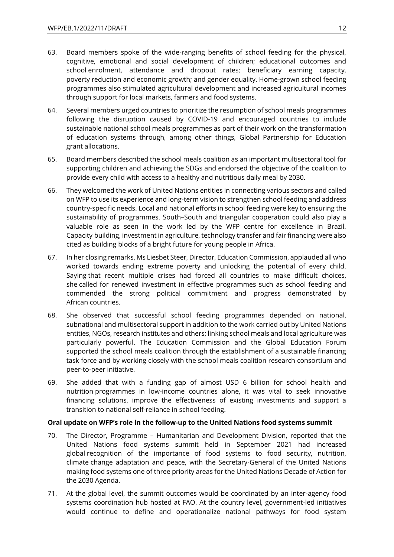- 63. Board members spoke of the wide-ranging benefits of school feeding for the physical, cognitive, emotional and social development of children; educational outcomes and school enrolment, attendance and dropout rates; beneficiary earning capacity, poverty reduction and economic growth; and gender equality. Home-grown school feeding programmes also stimulated agricultural development and increased agricultural incomes through support for local markets, farmers and food systems.
- 64. Several members urged countries to prioritize the resumption of school meals programmes following the disruption caused by COVID-19 and encouraged countries to include sustainable national school meals programmes as part of their work on the transformation of education systems through, among other things, Global Partnership for Education grant allocations.
- 65. Board members described the school meals coalition as an important multisectoral tool for supporting children and achieving the SDGs and endorsed the objective of the coalition to provide every child with access to a healthy and nutritious daily meal by 2030.
- 66. They welcomed the work of United Nations entities in connecting various sectors and called on WFP to use its experience and long-term vision to strengthen school feeding and address country-specific needs. Local and national efforts in school feeding were key to ensuring the sustainability of programmes. South–South and triangular cooperation could also play a valuable role as seen in the work led by the WFP centre for excellence in Brazil. Capacity building, investment in agriculture, technology transfer and fair financing were also cited as building blocks of a bright future for young people in Africa.
- 67. In her closing remarks, Ms Liesbet Steer, Director, Education Commission, applauded all who worked towards ending extreme poverty and unlocking the potential of every child. Saying that recent multiple crises had forced all countries to make difficult choices, she called for renewed investment in effective programmes such as school feeding and commended the strong political commitment and progress demonstrated by African countries.
- 68. She observed that successful school feeding programmes depended on national, subnational and multisectoral support in addition to the work carried out by United Nations entities, NGOs, research institutes and others; linking school meals and local agriculture was particularly powerful. The Education Commission and the Global Education Forum supported the school meals coalition through the establishment of a sustainable financing task force and by working closely with the school meals coalition research consortium and peer-to-peer initiative.
- 69. She added that with a funding gap of almost USD 6 billion for school health and nutrition programmes in low-income countries alone, it was vital to seek innovative financing solutions, improve the effectiveness of existing investments and support a transition to national self-reliance in school feeding.

#### <span id="page-11-0"></span>**Oral update on WFP's role in the follow-up to the United Nations food systems summit**

- 70. The Director, Programme Humanitarian and Development Division, reported that the United Nations food systems summit held in September 2021 had increased global recognition of the importance of food systems to food security, nutrition, climate change adaptation and peace, with the Secretary-General of the United Nations making food systems one of three priority areas for the United Nations Decade of Action for the 2030 Agenda.
- 71. At the global level, the summit outcomes would be coordinated by an inter-agency food systems coordination hub hosted at FAO. At the country level, government-led initiatives would continue to define and operationalize national pathways for food system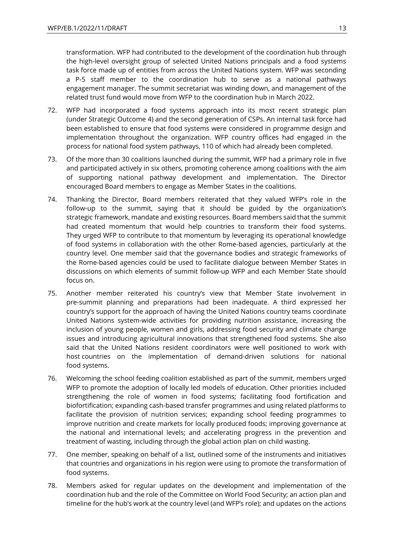transformation. WFP had contributed to the development of the coordination hub through the high-level oversight group of selected United Nations principals and a food systems task force made up of entities from across the United Nations system. WFP was seconding a P-5 staff member to the coordination hub to serve as a national pathways engagement manager. The summit secretariat was winding down, and management of the related trust fund would move from WFP to the coordination hub in March 2022.

- 72. WFP had incorporated a food systems approach into its most recent strategic plan (under Strategic Outcome 4) and the second generation of CSPs. An internal task force had been established to ensure that food systems were considered in programme design and implementation throughout the organization. WFP country offices had engaged in the process for national food system pathways, 110 of which had already been completed.
- 73. Of the more than 30 coalitions launched during the summit, WFP had a primary role in five and participated actively in six others, promoting coherence among coalitions with the aim of supporting national pathway development and implementation. The Director encouraged Board members to engage as Member States in the coalitions.
- 74. Thanking the Director, Board members reiterated that they valued WFP's role in the follow-up to the summit, saying that it should be guided by the organization's strategic framework, mandate and existing resources. Board members said that the summit had created momentum that would help countries to transform their food systems. They urged WFP to contribute to that momentum by leveraging its operational knowledge of food systems in collaboration with the other Rome-based agencies, particularly at the country level. One member said that the governance bodies and strategic frameworks of the Rome-based agencies could be used to facilitate dialogue between Member States in discussions on which elements of summit follow-up WFP and each Member State should focus on.
- 75. Another member reiterated his country's view that Member State involvement in pre-summit planning and preparations had been inadequate. A third expressed her country's support for the approach of having the United Nations country teams coordinate United Nations system-wide activities for providing nutrition assistance, increasing the inclusion of young people, women and girls, addressing food security and climate change issues and introducing agricultural innovations that strengthened food systems. She also said that the United Nations resident coordinators were well positioned to work with host countries on the implementation of demand-driven solutions for national food systems.
- 76. Welcoming the school feeding coalition established as part of the summit, members urged WFP to promote the adoption of locally led models of education. Other priorities included strengthening the role of women in food systems; facilitating food fortification and biofortification; expanding cash-based transfer programmes and using related platforms to facilitate the provision of nutrition services; expanding school feeding programmes to improve nutrition and create markets for locally produced foods; improving governance at the national and international levels; and accelerating progress in the prevention and treatment of wasting, including through the global action plan on child wasting.
- 77. One member, speaking on behalf of a list, outlined some of the instruments and initiatives that countries and organizations in his region were using to promote the transformation of food systems.
- 78. Members asked for regular updates on the development and implementation of the coordination hub and the role of the Committee on World Food Security; an action plan and timeline for the hub's work at the country level (and WFP's role); and updates on the actions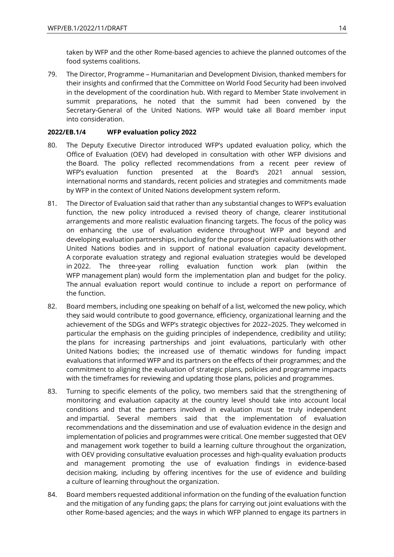taken by WFP and the other Rome-based agencies to achieve the planned outcomes of the food systems coalitions.

79. The Director, Programme – Humanitarian and Development Division, thanked members for their insights and confirmed that the Committee on World Food Security had been involved in the development of the coordination hub. With regard to Member State involvement in summit preparations, he noted that the summit had been convened by the Secretary-General of the United Nations. WFP would take all Board member input into consideration.

#### <span id="page-13-0"></span>**2022/EB.1/4 WFP evaluation policy 2022**

- 80. The Deputy Executive Director introduced WFP's updated evaluation policy, which the Office of Evaluation (OEV) had developed in consultation with other WFP divisions and the Board. The policy reflected recommendations from a recent peer review of WFP's evaluation function presented at the Board's 2021 annual session, international norms and standards, recent policies and strategies and commitments made by WFP in the context of United Nations development system reform.
- 81. The Director of Evaluation said that rather than any substantial changes to WFP's evaluation function, the new policy introduced a revised theory of change, clearer institutional arrangements and more realistic evaluation financing targets. The focus of the policy was on enhancing the use of evaluation evidence throughout WFP and beyond and developing evaluation partnerships, including for the purpose of joint evaluations with other United Nations bodies and in support of national evaluation capacity development. A corporate evaluation strategy and regional evaluation strategies would be developed in 2022. The three-year rolling evaluation function work plan (within the WFP management plan) would form the implementation plan and budget for the policy. The annual evaluation report would continue to include a report on performance of the function.
- 82. Board members, including one speaking on behalf of a list, welcomed the new policy, which they said would contribute to good governance, efficiency, organizational learning and the achievement of the SDGs and WFP's strategic objectives for 2022–2025. They welcomed in particular the emphasis on the guiding principles of independence, credibility and utility; the plans for increasing partnerships and joint evaluations, particularly with other United Nations bodies; the increased use of thematic windows for funding impact evaluations that informed WFP and its partners on the effects of their programmes; and the commitment to aligning the evaluation of strategic plans, policies and programme impacts with the timeframes for reviewing and updating those plans, policies and programmes.
- 83. Turning to specific elements of the policy, two members said that the strengthening of monitoring and evaluation capacity at the country level should take into account local conditions and that the partners involved in evaluation must be truly independent and impartial. Several members said that the implementation of evaluation recommendations and the dissemination and use of evaluation evidence in the design and implementation of policies and programmes were critical. One member suggested that OEV and management work together to build a learning culture throughout the organization, with OEV providing consultative evaluation processes and high-quality evaluation products and management promoting the use of evaluation findings in evidence-based decision making, including by offering incentives for the use of evidence and building a culture of learning throughout the organization.
- 84. Board members requested additional information on the funding of the evaluation function and the mitigation of any funding gaps; the plans for carrying out joint evaluations with the other Rome-based agencies; and the ways in which WFP planned to engage its partners in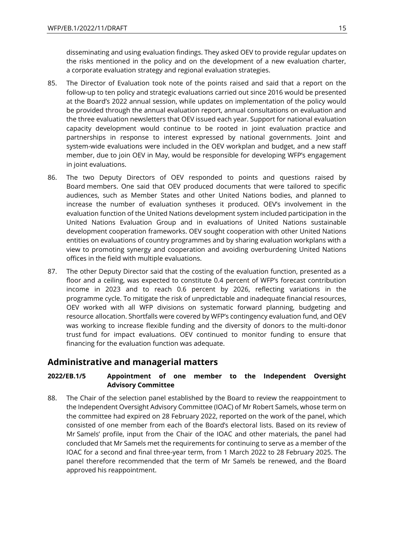disseminating and using evaluation findings. They asked OEV to provide regular updates on the risks mentioned in the policy and on the development of a new evaluation charter, a corporate evaluation strategy and regional evaluation strategies.

- 85. The Director of Evaluation took note of the points raised and said that a report on the follow-up to ten policy and strategic evaluations carried out since 2016 would be presented at the Board's 2022 annual session, while updates on implementation of the policy would be provided through the annual evaluation report, annual consultations on evaluation and the three evaluation newsletters that OEV issued each year. Support for national evaluation capacity development would continue to be rooted in joint evaluation practice and partnerships in response to interest expressed by national governments. Joint and system-wide evaluations were included in the OEV workplan and budget, and a new staff member, due to join OEV in May, would be responsible for developing WFP's engagement in joint evaluations.
- 86. The two Deputy Directors of OEV responded to points and questions raised by Board members. One said that OEV produced documents that were tailored to specific audiences, such as Member States and other United Nations bodies, and planned to increase the number of evaluation syntheses it produced. OEV's involvement in the evaluation function of the United Nations development system included participation in the United Nations Evaluation Group and in evaluations of United Nations sustainable development cooperation frameworks. OEV sought cooperation with other United Nations entities on evaluations of country programmes and by sharing evaluation workplans with a view to promoting synergy and cooperation and avoiding overburdening United Nations offices in the field with multiple evaluations.
- 87. The other Deputy Director said that the costing of the evaluation function, presented as a floor and a ceiling, was expected to constitute 0.4 percent of WFP's forecast contribution income in 2023 and to reach 0.6 percent by 2026, reflecting variations in the programme cycle. To mitigate the risk of unpredictable and inadequate financial resources, OEV worked with all WFP divisions on systematic forward planning, budgeting and resource allocation. Shortfalls were covered by WFP's contingency evaluation fund, and OEV was working to increase flexible funding and the diversity of donors to the multi-donor trust fund for impact evaluations. OEV continued to monitor funding to ensure that financing for the evaluation function was adequate.

### <span id="page-14-0"></span>**Administrative and managerial matters**

### <span id="page-14-1"></span>**2022/EB.1/5 Appointment of one member to the Independent Oversight Advisory Committee**

88. The Chair of the selection panel established by the Board to review the reappointment to the Independent Oversight Advisory Committee (IOAC) of Mr Robert Samels, whose term on the committee had expired on 28 February 2022, reported on the work of the panel, which consisted of one member from each of the Board's electoral lists. Based on its review of Mr Samels' profile, input from the Chair of the IOAC and other materials, the panel had concluded that Mr Samels met the requirements for continuing to serve as a member of the IOAC for a second and final three-year term, from 1 March 2022 to 28 February 2025. The panel therefore recommended that the term of Mr Samels be renewed, and the Board approved his reappointment.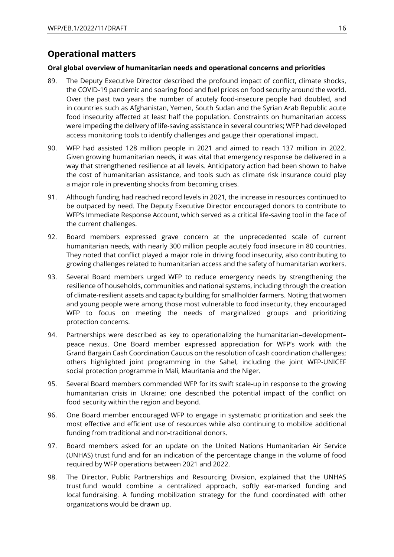# <span id="page-15-0"></span>**Operational matters**

#### <span id="page-15-1"></span>**Oral global overview of humanitarian needs and operational concerns and priorities**

- 89. The Deputy Executive Director described the profound impact of conflict, climate shocks, the COVID-19 pandemic and soaring food and fuel prices on food security around the world. Over the past two years the number of acutely food-insecure people had doubled, and in countries such as Afghanistan, Yemen, South Sudan and the Syrian Arab Republic acute food insecurity affected at least half the population. Constraints on humanitarian access were impeding the delivery of life-saving assistance in several countries; WFP had developed access monitoring tools to identify challenges and gauge their operational impact.
- 90. WFP had assisted 128 million people in 2021 and aimed to reach 137 million in 2022. Given growing humanitarian needs, it was vital that emergency response be delivered in a way that strengthened resilience at all levels. Anticipatory action had been shown to halve the cost of humanitarian assistance, and tools such as climate risk insurance could play a major role in preventing shocks from becoming crises.
- 91. Although funding had reached record levels in 2021, the increase in resources continued to be outpaced by need. The Deputy Executive Director encouraged donors to contribute to WFP's Immediate Response Account, which served as a critical life-saving tool in the face of the current challenges.
- 92. Board members expressed grave concern at the unprecedented scale of current humanitarian needs, with nearly 300 million people acutely food insecure in 80 countries. They noted that conflict played a major role in driving food insecurity, also contributing to growing challenges related to humanitarian access and the safety of humanitarian workers.
- 93. Several Board members urged WFP to reduce emergency needs by strengthening the resilience of households, communities and national systems, including through the creation of climate-resilient assets and capacity building for smallholder farmers. Noting that women and young people were among those most vulnerable to food insecurity, they encouraged WFP to focus on meeting the needs of marginalized groups and prioritizing protection concerns.
- 94. Partnerships were described as key to operationalizing the humanitarian–development– peace nexus. One Board member expressed appreciation for WFP's work with the Grand Bargain Cash Coordination Caucus on the resolution of cash coordination challenges; others highlighted joint programming in the Sahel, including the joint WFP-UNICEF social protection programme in Mali, Mauritania and the Niger.
- 95. Several Board members commended WFP for its swift scale-up in response to the growing humanitarian crisis in Ukraine; one described the potential impact of the conflict on food security within the region and beyond.
- 96. One Board member encouraged WFP to engage in systematic prioritization and seek the most effective and efficient use of resources while also continuing to mobilize additional funding from traditional and non-traditional donors.
- 97. Board members asked for an update on the United Nations Humanitarian Air Service (UNHAS) trust fund and for an indication of the percentage change in the volume of food required by WFP operations between 2021 and 2022.
- 98. The Director, Public Partnerships and Resourcing Division, explained that the UNHAS trust fund would combine a centralized approach, softly ear-marked funding and local fundraising. A funding mobilization strategy for the fund coordinated with other organizations would be drawn up.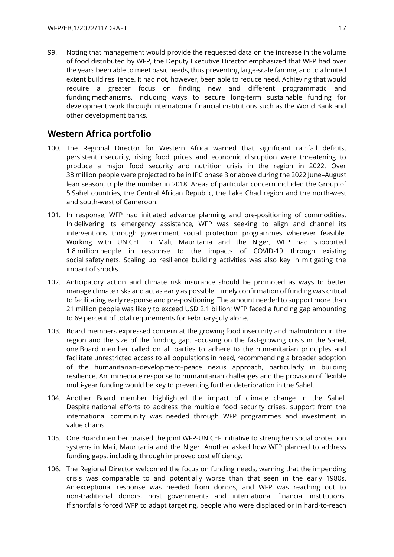99. Noting that management would provide the requested data on the increase in the volume of food distributed by WFP, the Deputy Executive Director emphasized that WFP had over the years been able to meet basic needs, thus preventing large-scale famine, and to a limited extent build resilience. It had not, however, been able to reduce need. Achieving that would require a greater focus on finding new and different programmatic and funding mechanisms, including ways to secure long-term sustainable funding for development work through international financial institutions such as the World Bank and other development banks.

# <span id="page-16-0"></span>**Western Africa portfolio**

- 100. The Regional Director for Western Africa warned that significant rainfall deficits, persistent insecurity, rising food prices and economic disruption were threatening to produce a major food security and nutrition crisis in the region in 2022. Over 38 million people were projected to be in IPC phase 3 or above during the 2022 June–August lean season, triple the number in 2018. Areas of particular concern included the Group of 5 Sahel countries, the Central African Republic, the Lake Chad region and the north-west and south-west of Cameroon.
- 101. In response, WFP had initiated advance planning and pre-positioning of commodities. In delivering its emergency assistance, WFP was seeking to align and channel its interventions through government social protection programmes wherever feasible. Working with UNICEF in Mali, Mauritania and the Niger, WFP had supported 1.8 million people in response to the impacts of COVID-19 through existing social safety nets. Scaling up resilience building activities was also key in mitigating the impact of shocks.
- 102. Anticipatory action and climate risk insurance should be promoted as ways to better manage climate risks and act as early as possible. Timely confirmation of funding was critical to facilitating early response and pre-positioning. The amount needed to support more than 21 million people was likely to exceed USD 2.1 billion; WFP faced a funding gap amounting to 69 percent of total requirements for February-July alone.
- 103. Board members expressed concern at the growing food insecurity and malnutrition in the region and the size of the funding gap. Focusing on the fast-growing crisis in the Sahel, one Board member called on all parties to adhere to the humanitarian principles and facilitate unrestricted access to all populations in need, recommending a broader adoption of the humanitarian–development–peace nexus approach, particularly in building resilience. An immediate response to humanitarian challenges and the provision of flexible multi-year funding would be key to preventing further deterioration in the Sahel.
- 104. Another Board member highlighted the impact of climate change in the Sahel. Despite national efforts to address the multiple food security crises, support from the international community was needed through WFP programmes and investment in value chains.
- 105. One Board member praised the joint WFP-UNICEF initiative to strengthen social protection systems in Mali, Mauritania and the Niger. Another asked how WFP planned to address funding gaps, including through improved cost efficiency.
- 106. The Regional Director welcomed the focus on funding needs, warning that the impending crisis was comparable to and potentially worse than that seen in the early 1980s. An exceptional response was needed from donors, and WFP was reaching out to non-traditional donors, host governments and international financial institutions. If shortfalls forced WFP to adapt targeting, people who were displaced or in hard-to-reach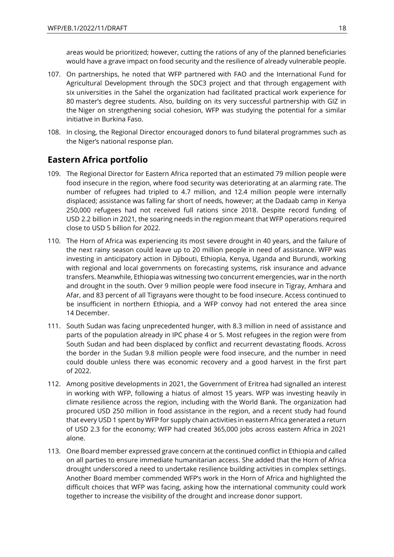areas would be prioritized; however, cutting the rations of any of the planned beneficiaries would have a grave impact on food security and the resilience of already vulnerable people.

- 107. On partnerships, he noted that WFP partnered with FAO and the International Fund for Agricultural Development through the SDC3 project and that through engagement with six universities in the Sahel the organization had facilitated practical work experience for 80 master's degree students. Also, building on its very successful partnership with GIZ in the Niger on strengthening social cohesion, WFP was studying the potential for a similar initiative in Burkina Faso.
- 108. In closing, the Regional Director encouraged donors to fund bilateral programmes such as the Niger's national response plan.

# <span id="page-17-0"></span>**Eastern Africa portfolio**

- 109. The Regional Director for Eastern Africa reported that an estimated 79 million people were food insecure in the region, where food security was deteriorating at an alarming rate. The number of refugees had tripled to 4.7 million, and 12.4 million people were internally displaced; assistance was falling far short of needs, however; at the Dadaab camp in Kenya 250,000 refugees had not received full rations since 2018. Despite record funding of USD 2.2 billion in 2021, the soaring needs in the region meant that WFP operations required close to USD 5 billion for 2022.
- 110. The Horn of Africa was experiencing its most severe drought in 40 years, and the failure of the next rainy season could leave up to 20 million people in need of assistance. WFP was investing in anticipatory action in Djibouti, Ethiopia, Kenya, Uganda and Burundi, working with regional and local governments on forecasting systems, risk insurance and advance transfers. Meanwhile, Ethiopia was witnessing two concurrent emergencies, war in the north and drought in the south. Over 9 million people were food insecure in Tigray, Amhara and Afar, and 83 percent of all Tigrayans were thought to be food insecure. Access continued to be insufficient in northern Ethiopia, and a WFP convoy had not entered the area since 14 December.
- 111. South Sudan was facing unprecedented hunger, with 8.3 million in need of assistance and parts of the population already in IPC phase 4 or 5. Most refugees in the region were from South Sudan and had been displaced by conflict and recurrent devastating floods. Across the border in the Sudan 9.8 million people were food insecure, and the number in need could double unless there was economic recovery and a good harvest in the first part of 2022.
- 112. Among positive developments in 2021, the Government of Eritrea had signalled an interest in working with WFP, following a hiatus of almost 15 years. WFP was investing heavily in climate resilience across the region, including with the World Bank. The organization had procured USD 250 million in food assistance in the region, and a recent study had found that every USD 1 spent by WFP for supply chain activities in eastern Africa generated a return of USD 2.3 for the economy; WFP had created 365,000 jobs across eastern Africa in 2021 alone.
- 113. One Board member expressed grave concern at the continued conflict in Ethiopia and called on all parties to ensure immediate humanitarian access. She added that the Horn of Africa drought underscored a need to undertake resilience building activities in complex settings. Another Board member commended WFP's work in the Horn of Africa and highlighted the difficult choices that WFP was facing, asking how the international community could work together to increase the visibility of the drought and increase donor support.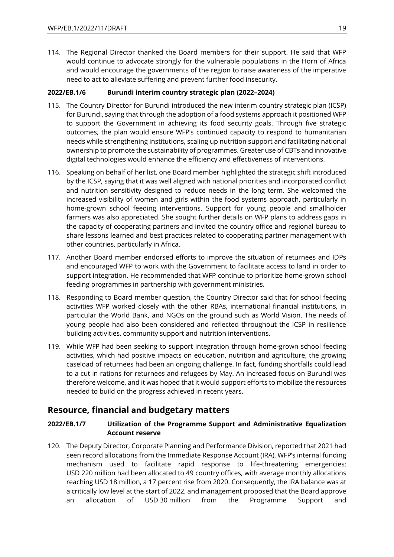114. The Regional Director thanked the Board members for their support. He said that WFP would continue to advocate strongly for the vulnerable populations in the Horn of Africa and would encourage the governments of the region to raise awareness of the imperative need to act to alleviate suffering and prevent further food insecurity.

### <span id="page-18-0"></span>**2022/EB.1/6 Burundi interim country strategic plan (2022–2024)**

- 115. The Country Director for Burundi introduced the new interim country strategic plan (ICSP) for Burundi, saying that through the adoption of a food systems approach it positioned WFP to support the Government in achieving its food security goals. Through five strategic outcomes, the plan would ensure WFP's continued capacity to respond to humanitarian needs while strengthening institutions, scaling up nutrition support and facilitating national ownership to promote the sustainability of programmes. Greater use of CBTs and innovative digital technologies would enhance the efficiency and effectiveness of interventions.
- 116. Speaking on behalf of her list, one Board member highlighted the strategic shift introduced by the ICSP, saying that it was well aligned with national priorities and incorporated conflict and nutrition sensitivity designed to reduce needs in the long term. She welcomed the increased visibility of women and girls within the food systems approach, particularly in home-grown school feeding interventions. Support for young people and smallholder farmers was also appreciated. She sought further details on WFP plans to address gaps in the capacity of cooperating partners and invited the country office and regional bureau to share lessons learned and best practices related to cooperating partner management with other countries, particularly in Africa.
- 117. Another Board member endorsed efforts to improve the situation of returnees and IDPs and encouraged WFP to work with the Government to facilitate access to land in order to support integration. He recommended that WFP continue to prioritize home-grown school feeding programmes in partnership with government ministries.
- 118. Responding to Board member question, the Country Director said that for school feeding activities WFP worked closely with the other RBAs, international financial institutions, in particular the World Bank, and NGOs on the ground such as World Vision. The needs of young people had also been considered and reflected throughout the ICSP in resilience building activities, community support and nutrition interventions.
- 119. While WFP had been seeking to support integration through home-grown school feeding activities, which had positive impacts on education, nutrition and agriculture, the growing caseload of returnees had been an ongoing challenge. In fact, funding shortfalls could lead to a cut in rations for returnees and refugees by May. An increased focus on Burundi was therefore welcome, and it was hoped that it would support efforts to mobilize the resources needed to build on the progress achieved in recent years.

### <span id="page-18-1"></span>**Resource, financial and budgetary matters**

### <span id="page-18-2"></span>**2022/EB.1/7 Utilization of the Programme Support and Administrative Equalization Account reserve**

120. The Deputy Director, Corporate Planning and Performance Division, reported that 2021 had seen record allocations from the Immediate Response Account (IRA), WFP's internal funding mechanism used to facilitate rapid response to life-threatening emergencies; USD 220 million had been allocated to 49 country offices, with average monthly allocations reaching USD 18 million, a 17 percent rise from 2020. Consequently, the IRA balance was at a critically low level at the start of 2022, and management proposed that the Board approve an allocation of USD 30 million from the Programme Support and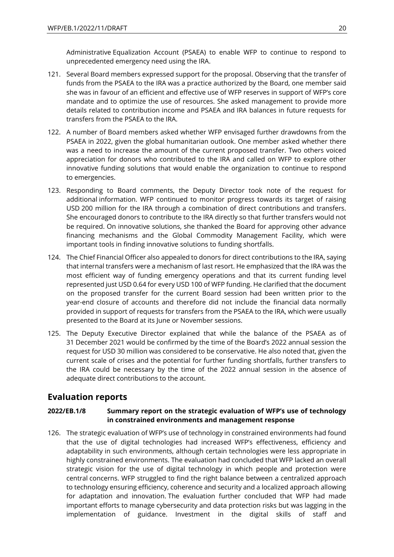Administrative Equalization Account (PSAEA) to enable WFP to continue to respond to unprecedented emergency need using the IRA.

- 121. Several Board members expressed support for the proposal. Observing that the transfer of funds from the PSAEA to the IRA was a practice authorized by the Board, one member said she was in favour of an efficient and effective use of WFP reserves in support of WFP's core mandate and to optimize the use of resources. She asked management to provide more details related to contribution income and PSAEA and IRA balances in future requests for transfers from the PSAEA to the IRA.
- 122. A number of Board members asked whether WFP envisaged further drawdowns from the PSAEA in 2022, given the global humanitarian outlook. One member asked whether there was a need to increase the amount of the current proposed transfer. Two others voiced appreciation for donors who contributed to the IRA and called on WFP to explore other innovative funding solutions that would enable the organization to continue to respond to emergencies.
- 123. Responding to Board comments, the Deputy Director took note of the request for additional information. WFP continued to monitor progress towards its target of raising USD 200 million for the IRA through a combination of direct contributions and transfers. She encouraged donors to contribute to the IRA directly so that further transfers would not be required. On innovative solutions, she thanked the Board for approving other advance financing mechanisms and the Global Commodity Management Facility, which were important tools in finding innovative solutions to funding shortfalls.
- 124. The Chief Financial Officer also appealed to donors for direct contributions to the IRA, saying that internal transfers were a mechanism of last resort. He emphasized that the IRA was the most efficient way of funding emergency operations and that its current funding level represented just USD 0.64 for every USD 100 of WFP funding. He clarified that the document on the proposed transfer for the current Board session had been written prior to the year-end closure of accounts and therefore did not include the financial data normally provided in support of requests for transfers from the PSAEA to the IRA, which were usually presented to the Board at its June or November sessions.
- 125. The Deputy Executive Director explained that while the balance of the PSAEA as of 31 December 2021 would be confirmed by the time of the Board's 2022 annual session the request for USD 30 million was considered to be conservative. He also noted that, given the current scale of crises and the potential for further funding shortfalls, further transfers to the IRA could be necessary by the time of the 2022 annual session in the absence of adequate direct contributions to the account.

### <span id="page-19-0"></span>**Evaluation reports**

### <span id="page-19-1"></span>**2022/EB.1/8 Summary report on the strategic evaluation of WFP's use of technology in constrained environments and management response**

126. The strategic evaluation of WFP's use of technology in constrained environments had found that the use of digital technologies had increased WFP's effectiveness, efficiency and adaptability in such environments, although certain technologies were less appropriate in highly constrained environments. The evaluation had concluded that WFP lacked an overall strategic vision for the use of digital technology in which people and protection were central concerns. WFP struggled to find the right balance between a centralized approach to technology ensuring efficiency, coherence and security and a localized approach allowing for adaptation and innovation. The evaluation further concluded that WFP had made important efforts to manage cybersecurity and data protection risks but was lagging in the implementation of guidance. Investment in the digital skills of staff and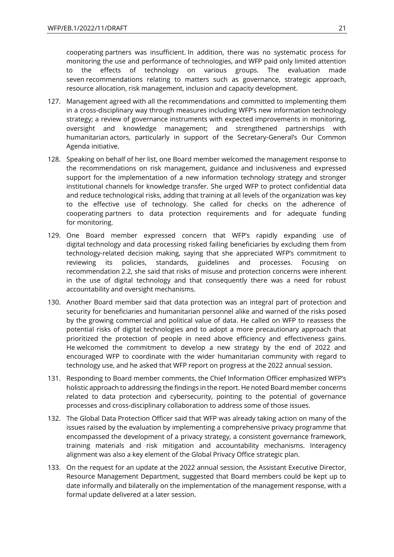cooperating partners was insufficient. In addition, there was no systematic process for monitoring the use and performance of technologies, and WFP paid only limited attention to the effects of technology on various groups. The evaluation made seven recommendations relating to matters such as governance, strategic approach, resource allocation, risk management, inclusion and capacity development.

- 127. Management agreed with all the recommendations and committed to implementing them in a cross-disciplinary way through measures including WFP's new information technology strategy; a review of governance instruments with expected improvements in monitoring, oversight and knowledge management; and strengthened partnerships with humanitarian actors, particularly in support of the Secretary-General's Our Common Agenda initiative.
- 128. Speaking on behalf of her list, one Board member welcomed the management response to the recommendations on risk management, guidance and inclusiveness and expressed support for the implementation of a new information technology strategy and stronger institutional channels for knowledge transfer. She urged WFP to protect confidential data and reduce technological risks, adding that training at all levels of the organization was key to the effective use of technology. She called for checks on the adherence of cooperating partners to data protection requirements and for adequate funding for monitoring.
- 129. One Board member expressed concern that WFP's rapidly expanding use of digital technology and data processing risked failing beneficiaries by excluding them from technology-related decision making, saying that she appreciated WFP's commitment to reviewing its policies, standards, guidelines and processes. Focusing on recommendation 2.2, she said that risks of misuse and protection concerns were inherent in the use of digital technology and that consequently there was a need for robust accountability and oversight mechanisms.
- 130. Another Board member said that data protection was an integral part of protection and security for beneficiaries and humanitarian personnel alike and warned of the risks posed by the growing commercial and political value of data. He called on WFP to reassess the potential risks of digital technologies and to adopt a more precautionary approach that prioritized the protection of people in need above efficiency and effectiveness gains. He welcomed the commitment to develop a new strategy by the end of 2022 and encouraged WFP to coordinate with the wider humanitarian community with regard to technology use, and he asked that WFP report on progress at the 2022 annual session.
- 131. Responding to Board member comments, the Chief Information Officer emphasized WFP's holistic approach to addressing the findings in the report. He noted Board member concerns related to data protection and cybersecurity, pointing to the potential of governance processes and cross-disciplinary collaboration to address some of those issues.
- 132. The Global Data Protection Officer said that WFP was already taking action on many of the issues raised by the evaluation by implementing a comprehensive privacy programme that encompassed the development of a privacy strategy, a consistent governance framework, training materials and risk mitigation and accountability mechanisms. Interagency alignment was also a key element of the Global Privacy Office strategic plan.
- 133. On the request for an update at the 2022 annual session, the Assistant Executive Director, Resource Management Department, suggested that Board members could be kept up to date informally and bilaterally on the implementation of the management response, with a formal update delivered at a later session.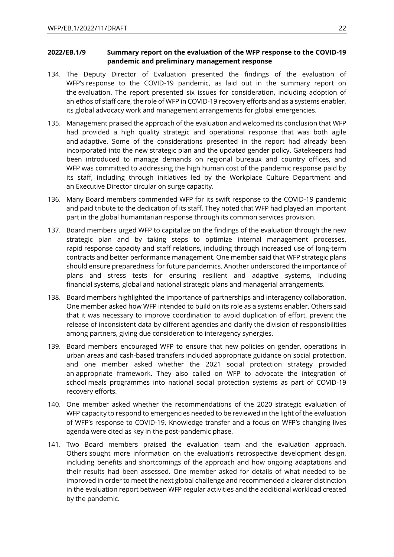#### <span id="page-21-0"></span>**2022/EB.1/9 Summary report on the evaluation of the WFP response to the COVID-19 pandemic and preliminary management response**

- 134. The Deputy Director of Evaluation presented the findings of the evaluation of WFP's response to the COVID-19 pandemic, as laid out in the summary report on the evaluation. The report presented six issues for consideration, including adoption of an ethos of staff care, the role of WFP in COVID-19 recovery efforts and as a systems enabler, its global advocacy work and management arrangements for global emergencies.
- 135. Management praised the approach of the evaluation and welcomed its conclusion that WFP had provided a high quality strategic and operational response that was both agile and adaptive. Some of the considerations presented in the report had already been incorporated into the new strategic plan and the updated gender policy. Gatekeepers had been introduced to manage demands on regional bureaux and country offices, and WFP was committed to addressing the high human cost of the pandemic response paid by its staff, including through initiatives led by the Workplace Culture Department and an Executive Director circular on surge capacity.
- 136. Many Board members commended WFP for its swift response to the COVID-19 pandemic and paid tribute to the dedication of its staff. They noted that WFP had played an important part in the global humanitarian response through its common services provision.
- 137. Board members urged WFP to capitalize on the findings of the evaluation through the new strategic plan and by taking steps to optimize internal management processes, rapid response capacity and staff relations, including through increased use of long-term contracts and better performance management. One member said that WFP strategic plans should ensure preparedness for future pandemics. Another underscored the importance of plans and stress tests for ensuring resilient and adaptive systems, including financial systems, global and national strategic plans and managerial arrangements.
- 138. Board members highlighted the importance of partnerships and interagency collaboration. One member asked how WFP intended to build on its role as a systems enabler. Others said that it was necessary to improve coordination to avoid duplication of effort, prevent the release of inconsistent data by different agencies and clarify the division of responsibilities among partners, giving due consideration to interagency synergies.
- 139. Board members encouraged WFP to ensure that new policies on gender, operations in urban areas and cash-based transfers included appropriate guidance on social protection, and one member asked whether the 2021 social protection strategy provided an appropriate framework. They also called on WFP to advocate the integration of school meals programmes into national social protection systems as part of COVID-19 recovery efforts.
- 140. One member asked whether the recommendations of the 2020 strategic evaluation of WFP capacity to respond to emergencies needed to be reviewed in the light of the evaluation of WFP's response to COVID-19. Knowledge transfer and a focus on WFP's changing lives agenda were cited as key in the post-pandemic phase.
- 141. Two Board members praised the evaluation team and the evaluation approach. Others sought more information on the evaluation's retrospective development design, including benefits and shortcomings of the approach and how ongoing adaptations and their results had been assessed. One member asked for details of what needed to be improved in order to meet the next global challenge and recommended a clearer distinction in the evaluation report between WFP regular activities and the additional workload created by the pandemic.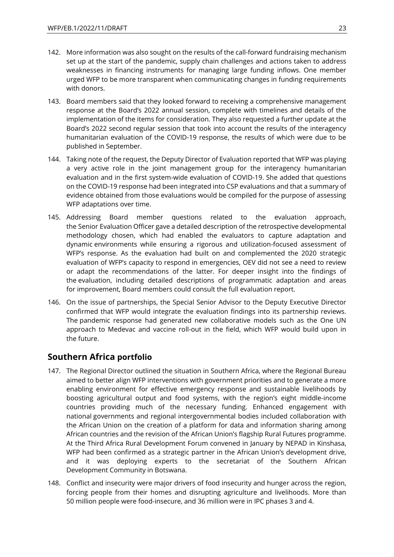- 142. More information was also sought on the results of the call-forward fundraising mechanism set up at the start of the pandemic, supply chain challenges and actions taken to address weaknesses in financing instruments for managing large funding inflows. One member urged WFP to be more transparent when communicating changes in funding requirements with donors.
- 143. Board members said that they looked forward to receiving a comprehensive management response at the Board's 2022 annual session, complete with timelines and details of the implementation of the items for consideration. They also requested a further update at the Board's 2022 second regular session that took into account the results of the interagency humanitarian evaluation of the COVID-19 response, the results of which were due to be published in September.
- 144. Taking note of the request, the Deputy Director of Evaluation reported that WFP was playing a very active role in the joint management group for the interagency humanitarian evaluation and in the first system-wide evaluation of COVID-19. She added that questions on the COVID-19 response had been integrated into CSP evaluations and that a summary of evidence obtained from those evaluations would be compiled for the purpose of assessing WFP adaptations over time.
- 145. Addressing Board member questions related to the evaluation approach, the Senior Evaluation Officer gave a detailed description of the retrospective developmental methodology chosen, which had enabled the evaluators to capture adaptation and dynamic environments while ensuring a rigorous and utilization-focused assessment of WFP's response. As the evaluation had built on and complemented the 2020 strategic evaluation of WFP's capacity to respond in emergencies, OEV did not see a need to review or adapt the recommendations of the latter. For deeper insight into the findings of the evaluation, including detailed descriptions of programmatic adaptation and areas for improvement, Board members could consult the full evaluation report.
- 146. On the issue of partnerships, the Special Senior Advisor to the Deputy Executive Director confirmed that WFP would integrate the evaluation findings into its partnership reviews. The pandemic response had generated new collaborative models such as the One UN approach to Medevac and vaccine roll-out in the field, which WFP would build upon in the future.

### <span id="page-22-0"></span>**Southern Africa portfolio**

- 147. The Regional Director outlined the situation in Southern Africa, where the Regional Bureau aimed to better align WFP interventions with government priorities and to generate a more enabling environment for effective emergency response and sustainable livelihoods by boosting agricultural output and food systems, with the region's eight middle-income countries providing much of the necessary funding. Enhanced engagement with national governments and regional intergovernmental bodies included collaboration with the African Union on the creation of a platform for data and information sharing among African countries and the revision of the African Union's flagship Rural Futures programme. At the Third Africa Rural Development Forum convened in January by NEPAD in Kinshasa, WFP had been confirmed as a strategic partner in the African Union's development drive, and it was deploying experts to the secretariat of the Southern African Development Community in Botswana.
- 148. Conflict and insecurity were major drivers of food insecurity and hunger across the region, forcing people from their homes and disrupting agriculture and livelihoods. More than 50 million people were food-insecure, and 36 million were in IPC phases 3 and 4.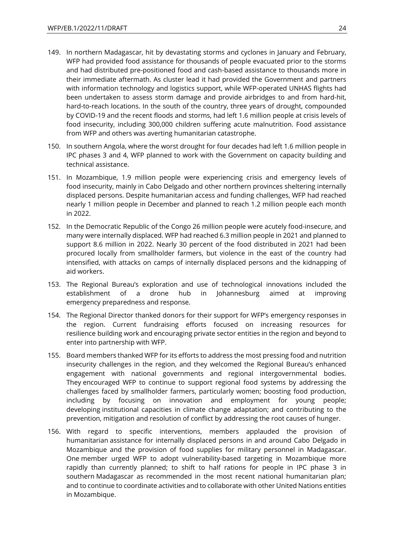- 149. In northern Madagascar, hit by devastating storms and cyclones in January and February, WFP had provided food assistance for thousands of people evacuated prior to the storms and had distributed pre-positioned food and cash-based assistance to thousands more in their immediate aftermath. As cluster lead it had provided the Government and partners with information technology and logistics support, while WFP-operated UNHAS flights had been undertaken to assess storm damage and provide airbridges to and from hard-hit, hard-to-reach locations. In the south of the country, three years of drought, compounded by COVID-19 and the recent floods and storms, had left 1.6 million people at crisis levels of food insecurity, including 300,000 children suffering acute malnutrition. Food assistance from WFP and others was averting humanitarian catastrophe.
- 150. In southern Angola, where the worst drought for four decades had left 1.6 million people in IPC phases 3 and 4, WFP planned to work with the Government on capacity building and technical assistance.
- 151. In Mozambique, 1.9 million people were experiencing crisis and emergency levels of food insecurity, mainly in Cabo Delgado and other northern provinces sheltering internally displaced persons. Despite humanitarian access and funding challenges, WFP had reached nearly 1 million people in December and planned to reach 1.2 million people each month in 2022.
- 152. In the Democratic Republic of the Congo 26 million people were acutely food-insecure, and many were internally displaced. WFP had reached 6.3 million people in 2021 and planned to support 8.6 million in 2022. Nearly 30 percent of the food distributed in 2021 had been procured locally from smallholder farmers, but violence in the east of the country had intensified, with attacks on camps of internally displaced persons and the kidnapping of aid workers.
- 153. The Regional Bureau's exploration and use of technological innovations included the establishment of a drone hub in Johannesburg aimed at improving emergency preparedness and response.
- 154. The Regional Director thanked donors for their support for WFP's emergency responses in the region. Current fundraising efforts focused on increasing resources for resilience building work and encouraging private sector entities in the region and beyond to enter into partnership with WFP.
- 155. Board members thanked WFP for its efforts to address the most pressing food and nutrition insecurity challenges in the region, and they welcomed the Regional Bureau's enhanced engagement with national governments and regional intergovernmental bodies. They encouraged WFP to continue to support regional food systems by addressing the challenges faced by smallholder farmers, particularly women; boosting food production, including by focusing on innovation and employment for young people; developing institutional capacities in climate change adaptation; and contributing to the prevention, mitigation and resolution of conflict by addressing the root causes of hunger.
- 156. With regard to specific interventions, members applauded the provision of humanitarian assistance for internally displaced persons in and around Cabo Delgado in Mozambique and the provision of food supplies for military personnel in Madagascar. One member urged WFP to adopt vulnerability-based targeting in Mozambique more rapidly than currently planned; to shift to half rations for people in IPC phase 3 in southern Madagascar as recommended in the most recent national humanitarian plan; and to continue to coordinate activities and to collaborate with other United Nations entities in Mozambique.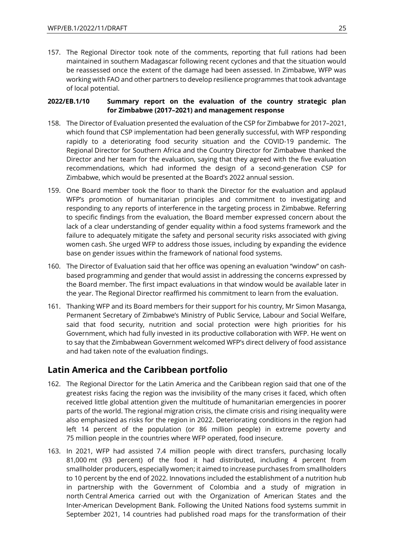157. The Regional Director took note of the comments, reporting that full rations had been maintained in southern Madagascar following recent cyclones and that the situation would be reassessed once the extent of the damage had been assessed. In Zimbabwe, WFP was working with FAO and other partners to develop resilience programmes that took advantage of local potential.

#### <span id="page-24-0"></span>**2022/EB.1/10 Summary report on the evaluation of the country strategic plan for Zimbabwe (2017–2021) and management response**

- 158. The Director of Evaluation presented the evaluation of the CSP for Zimbabwe for 2017–2021, which found that CSP implementation had been generally successful, with WFP responding rapidly to a deteriorating food security situation and the COVID-19 pandemic. The Regional Director for Southern Africa and the Country Director for Zimbabwe thanked the Director and her team for the evaluation, saying that they agreed with the five evaluation recommendations, which had informed the design of a second-generation CSP for Zimbabwe, which would be presented at the Board's 2022 annual session.
- 159. One Board member took the floor to thank the Director for the evaluation and applaud WFP's promotion of humanitarian principles and commitment to investigating and responding to any reports of interference in the targeting process in Zimbabwe. Referring to specific findings from the evaluation, the Board member expressed concern about the lack of a clear understanding of gender equality within a food systems framework and the failure to adequately mitigate the safety and personal security risks associated with giving women cash. She urged WFP to address those issues, including by expanding the evidence base on gender issues within the framework of national food systems.
- 160. The Director of Evaluation said that her office was opening an evaluation "window" on cashbased programming and gender that would assist in addressing the concerns expressed by the Board member. The first impact evaluations in that window would be available later in the year. The Regional Director reaffirmed his commitment to learn from the evaluation.
- 161. Thanking WFP and its Board members for their support for his country, Mr Simon Masanga, Permanent Secretary of Zimbabwe's Ministry of Public Service, Labour and Social Welfare, said that food security, nutrition and social protection were high priorities for his Government, which had fully invested in its productive collaboration with WFP. He went on to say that the Zimbabwean Government welcomed WFP's direct delivery of food assistance and had taken note of the evaluation findings.

# <span id="page-24-1"></span>**Latin America and the Caribbean portfolio**

- 162. The Regional Director for the Latin America and the Caribbean region said that one of the greatest risks facing the region was the invisibility of the many crises it faced, which often received little global attention given the multitude of humanitarian emergencies in poorer parts of the world. The regional migration crisis, the climate crisis and rising inequality were also emphasized as risks for the region in 2022. Deteriorating conditions in the region had left 14 percent of the population (or 86 million people) in extreme poverty and 75 million people in the countries where WFP operated, food insecure.
- 163. In 2021, WFP had assisted 7.4 million people with direct transfers, purchasing locally 81,000 mt (93 percent) of the food it had distributed, including 4 percent from smallholder producers, especially women; it aimed to increase purchases from smallholders to 10 percent by the end of 2022. Innovations included the establishment of a nutrition hub in partnership with the Government of Colombia and a study of migration in north Central America carried out with the Organization of American States and the Inter-American Development Bank. Following the United Nations food systems summit in September 2021, 14 countries had published road maps for the transformation of their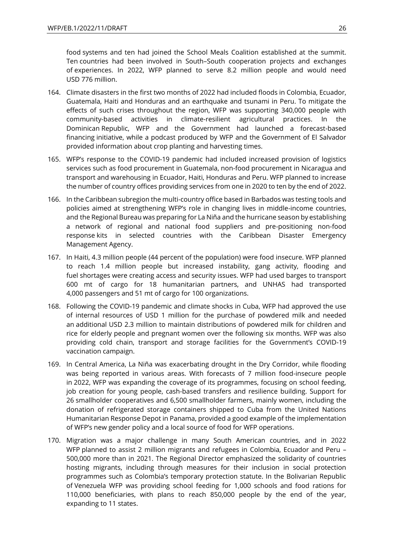food systems and ten had joined the School Meals Coalition established at the summit. Ten countries had been involved in South–South cooperation projects and exchanges of experiences. In 2022, WFP planned to serve 8.2 million people and would need USD 776 million.

- 164. Climate disasters in the first two months of 2022 had included floods in Colombia, Ecuador, Guatemala, Haiti and Honduras and an earthquake and tsunami in Peru. To mitigate the effects of such crises throughout the region, WFP was supporting 340,000 people with community-based activities in climate-resilient agricultural practices. In the Dominican Republic, WFP and the Government had launched a forecast-based financing initiative, while a podcast produced by WFP and the Government of El Salvador provided information about crop planting and harvesting times.
- 165. WFP's response to the COVID-19 pandemic had included increased provision of logistics services such as food procurement in Guatemala, non-food procurement in Nicaragua and transport and warehousing in Ecuador, Haiti, Honduras and Peru. WFP planned to increase the number of country offices providing services from one in 2020 to ten by the end of 2022.
- 166. In the Caribbean subregion the multi-country office based in Barbados was testing tools and policies aimed at strengthening WFP's role in changing lives in middle-income countries, and the Regional Bureau was preparing for La Niña and the hurricane season by establishing a network of regional and national food suppliers and pre-positioning non-food response kits in selected countries with the Caribbean Disaster Emergency Management Agency.
- 167. In Haiti, 4.3 million people (44 percent of the population) were food insecure. WFP planned to reach 1.4 million people but increased instability, gang activity, flooding and fuel shortages were creating access and security issues. WFP had used barges to transport 600 mt of cargo for 18 humanitarian partners, and UNHAS had transported 4,000 passengers and 51 mt of cargo for 100 organizations.
- 168. Following the COVID-19 pandemic and climate shocks in Cuba, WFP had approved the use of internal resources of USD 1 million for the purchase of powdered milk and needed an additional USD 2.3 million to maintain distributions of powdered milk for children and rice for elderly people and pregnant women over the following six months. WFP was also providing cold chain, transport and storage facilities for the Government's COVID-19 vaccination campaign.
- 169. In Central America, La Niña was exacerbating drought in the Dry Corridor, while flooding was being reported in various areas. With forecasts of 7 million food-insecure people in 2022, WFP was expanding the coverage of its programmes, focusing on school feeding, job creation for young people, cash-based transfers and resilience building. Support for 26 smallholder cooperatives and 6,500 smallholder farmers, mainly women, including the donation of refrigerated storage containers shipped to Cuba from the United Nations Humanitarian Response Depot in Panama, provided a good example of the implementation of WFP's new gender policy and a local source of food for WFP operations.
- 170. Migration was a major challenge in many South American countries, and in 2022 WFP planned to assist 2 million migrants and refugees in Colombia, Ecuador and Peru – 500,000 more than in 2021. The Regional Director emphasized the solidarity of countries hosting migrants, including through measures for their inclusion in social protection programmes such as Colombia's temporary protection statute. In the Bolivarian Republic of Venezuela WFP was providing school feeding for 1,000 schools and food rations for 110,000 beneficiaries, with plans to reach 850,000 people by the end of the year, expanding to 11 states.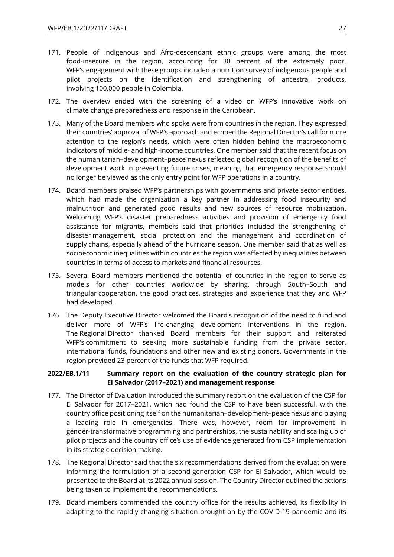- 171. People of indigenous and Afro-descendant ethnic groups were among the most food-insecure in the region, accounting for 30 percent of the extremely poor. WFP's engagement with these groups included a nutrition survey of indigenous people and pilot projects on the identification and strengthening of ancestral products, involving 100,000 people in Colombia.
- 172. The overview ended with the screening of a video on WFP's innovative work on climate change preparedness and response in the Caribbean.
- 173. Many of the Board members who spoke were from countries in the region. They expressed their countries' approval of WFP's approach and echoed the Regional Director's call for more attention to the region's needs, which were often hidden behind the macroeconomic indicators of middle- and high-income countries. One member said that the recent focus on the humanitarian–development–peace nexus reflected global recognition of the benefits of development work in preventing future crises, meaning that emergency response should no longer be viewed as the only entry point for WFP operations in a country.
- 174. Board members praised WFP's partnerships with governments and private sector entities, which had made the organization a key partner in addressing food insecurity and malnutrition and generated good results and new sources of resource mobilization. Welcoming WFP's disaster preparedness activities and provision of emergency food assistance for migrants, members said that priorities included the strengthening of disaster management, social protection and the management and coordination of supply chains, especially ahead of the hurricane season. One member said that as well as socioeconomic inequalities within countries the region was affected by inequalities between countries in terms of access to markets and financial resources.
- 175. Several Board members mentioned the potential of countries in the region to serve as models for other countries worldwide by sharing, through South–South and triangular cooperation, the good practices, strategies and experience that they and WFP had developed.
- 176. The Deputy Executive Director welcomed the Board's recognition of the need to fund and deliver more of WFP's life-changing development interventions in the region. The Regional Director thanked Board members for their support and reiterated WFP's commitment to seeking more sustainable funding from the private sector, international funds, foundations and other new and existing donors. Governments in the region provided 23 percent of the funds that WFP required.

#### <span id="page-26-0"></span>**2022/EB.1/11 Summary report on the evaluation of the country strategic plan for El Salvador (2017–2021) and management response**

- 177. The Director of Evaluation introduced the summary report on the evaluation of the CSP for El Salvador for 2017–2021, which had found the CSP to have been successful, with the country office positioning itself on the humanitarian–development–peace nexus and playing a leading role in emergencies. There was, however, room for improvement in gender-transformative programming and partnerships, the sustainability and scaling up of pilot projects and the country office's use of evidence generated from CSP implementation in its strategic decision making.
- 178. The Regional Director said that the six recommendations derived from the evaluation were informing the formulation of a second-generation CSP for El Salvador, which would be presented to the Board at its 2022 annual session. The Country Director outlined the actions being taken to implement the recommendations.
- 179. Board members commended the country office for the results achieved, its flexibility in adapting to the rapidly changing situation brought on by the COVID-19 pandemic and its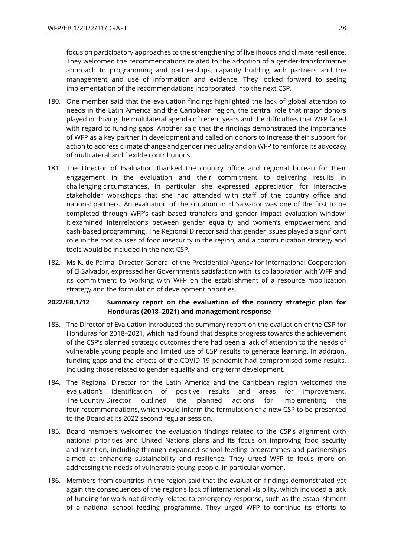focus on participatory approaches to the strengthening of livelihoods and climate resilience. They welcomed the recommendations related to the adoption of a gender-transformative approach to programming and partnerships, capacity building with partners and the management and use of information and evidence. They looked forward to seeing implementation of the recommendations incorporated into the next CSP.

- 180. One member said that the evaluation findings highlighted the lack of global attention to needs in the Latin America and the Caribbean region, the central role that major donors played in driving the multilateral agenda of recent years and the difficulties that WFP faced with regard to funding gaps. Another said that the findings demonstrated the importance of WFP as a key partner in development and called on donors to increase their support for action to address climate change and gender inequality and on WFP to reinforce its advocacy of multilateral and flexible contributions.
- 181. The Director of Evaluation thanked the country office and regional bureau for their engagement in the evaluation and their commitment to delivering results in challenging circumstances. In particular she expressed appreciation for interactive stakeholder workshops that she had attended with staff of the country office and national partners. An evaluation of the situation in El Salvador was one of the first to be completed through WFP's cash-based transfers and gender impact evaluation window; it examined interrelations between gender equality and women's empowerment and cash-based programming. The Regional Director said that gender issues played a significant role in the root causes of food insecurity in the region, and a communication strategy and tools would be included in the next CSP.
- 182. Ms K. de Palma, Director General of the Presidential Agency for International Cooperation of El Salvador, expressed her Government's satisfaction with its collaboration with WFP and its commitment to working with WFP on the establishment of a resource mobilization strategy and the formulation of development priorities.

#### <span id="page-27-0"></span>**2022/EB.1/12 Summary report on the evaluation of the country strategic plan for Honduras (2018–2021) and management response**

- 183. The Director of Evaluation introduced the summary report on the evaluation of the CSP for Honduras for 2018–2021, which had found that despite progress towards the achievement of the CSP's planned strategic outcomes there had been a lack of attention to the needs of vulnerable young people and limited use of CSP results to generate learning. In addition, funding gaps and the effects of the COVID-19 pandemic had compromised some results, including those related to gender equality and long-term development.
- 184. The Regional Director for the Latin America and the Caribbean region welcomed the evaluation's identification of positive results and areas for improvement. The Country Director outlined the planned actions for implementing the four recommendations, which would inform the formulation of a new CSP to be presented to the Board at its 2022 second regular session.
- 185. Board members welcomed the evaluation findings related to the CSP's alignment with national priorities and United Nations plans and its focus on improving food security and nutrition, including through expanded school feeding programmes and partnerships aimed at enhancing sustainability and resilience. They urged WFP to focus more on addressing the needs of vulnerable young people, in particular women.
- 186. Members from countries in the region said that the evaluation findings demonstrated yet again the consequences of the region's lack of international visibility, which included a lack of funding for work not directly related to emergency response, such as the establishment of a national school feeding programme. They urged WFP to continue its efforts to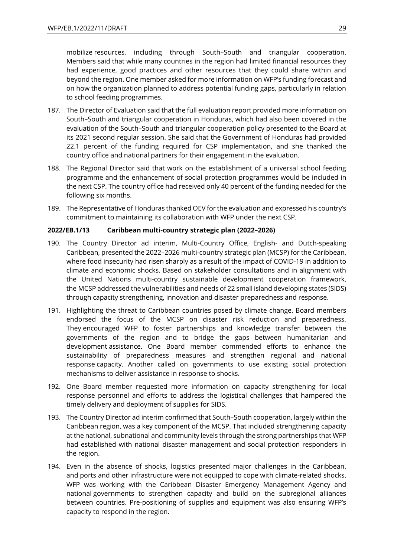mobilize resources, including through South–South and triangular cooperation. Members said that while many countries in the region had limited financial resources they had experience, good practices and other resources that they could share within and beyond the region. One member asked for more information on WFP's funding forecast and on how the organization planned to address potential funding gaps, particularly in relation to school feeding programmes.

- 187. The Director of Evaluation said that the full evaluation report provided more information on South–South and triangular cooperation in Honduras, which had also been covered in the evaluation of the South–South and triangular cooperation policy presented to the Board at its 2021 second regular session. She said that the Government of Honduras had provided 22.1 percent of the funding required for CSP implementation, and she thanked the country office and national partners for their engagement in the evaluation.
- 188. The Regional Director said that work on the establishment of a universal school feeding programme and the enhancement of social protection programmes would be included in the next CSP. The country office had received only 40 percent of the funding needed for the following six months.
- 189. The Representative of Honduras thanked OEV for the evaluation and expressed his country's commitment to maintaining its collaboration with WFP under the next CSP.

#### <span id="page-28-0"></span>**2022/EB.1/13 Caribbean multi-country strategic plan (2022–2026)**

- 190. The Country Director ad interim, Multi-Country Office, English- and Dutch-speaking Caribbean, presented the 2022–2026 multi-country strategic plan (MCSP) for the Caribbean, where food insecurity had risen sharply as a result of the impact of COVID-19 in addition to climate and economic shocks. Based on stakeholder consultations and in alignment with the United Nations multi-country sustainable development cooperation framework, the MCSP addressed the vulnerabilities and needs of 22 small island developing states (SIDS) through capacity strengthening, innovation and disaster preparedness and response.
- 191. Highlighting the threat to Caribbean countries posed by climate change, Board members endorsed the focus of the MCSP on disaster risk reduction and preparedness. They encouraged WFP to foster partnerships and knowledge transfer between the governments of the region and to bridge the gaps between humanitarian and development assistance. One Board member commended efforts to enhance the sustainability of preparedness measures and strengthen regional and national response capacity. Another called on governments to use existing social protection mechanisms to deliver assistance in response to shocks.
- 192. One Board member requested more information on capacity strengthening for local response personnel and efforts to address the logistical challenges that hampered the timely delivery and deployment of supplies for SIDS.
- 193. The Country Director ad interim confirmed that South–South cooperation, largely within the Caribbean region, was a key component of the MCSP. That included strengthening capacity at the national, subnational and community levels through the strong partnerships that WFP had established with national disaster management and social protection responders in the region.
- 194. Even in the absence of shocks, logistics presented major challenges in the Caribbean, and ports and other infrastructure were not equipped to cope with climate-related shocks. WFP was working with the Caribbean Disaster Emergency Management Agency and national governments to strengthen capacity and build on the subregional alliances between countries. Pre-positioning of supplies and equipment was also ensuring WFP's capacity to respond in the region.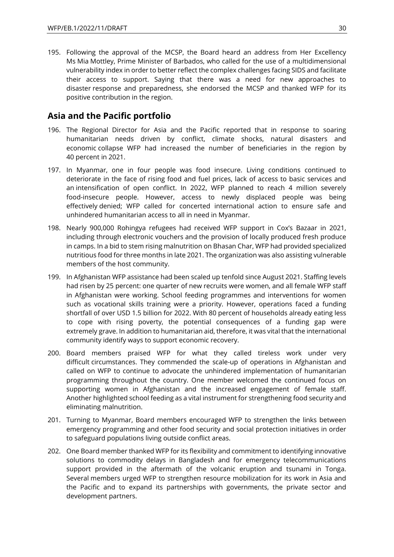195. Following the approval of the MCSP, the Board heard an address from Her Excellency Ms Mia Mottley, Prime Minister of Barbados, who called for the use of a multidimensional vulnerability index in order to better reflect the complex challenges facing SIDS and facilitate their access to support. Saying that there was a need for new approaches to disaster response and preparedness, she endorsed the MCSP and thanked WFP for its positive contribution in the region.

# <span id="page-29-0"></span>**Asia and the Pacific portfolio**

- 196. The Regional Director for Asia and the Pacific reported that in response to soaring humanitarian needs driven by conflict, climate shocks, natural disasters and economic collapse WFP had increased the number of beneficiaries in the region by 40 percent in 2021.
- 197. In Myanmar, one in four people was food insecure. Living conditions continued to deteriorate in the face of rising food and fuel prices, lack of access to basic services and an intensification of open conflict. In 2022, WFP planned to reach 4 million severely food-insecure people. However, access to newly displaced people was being effectively denied; WFP called for concerted international action to ensure safe and unhindered humanitarian access to all in need in Myanmar.
- 198. Nearly 900,000 Rohingya refugees had received WFP support in Cox's Bazaar in 2021, including through electronic vouchers and the provision of locally produced fresh produce in camps. In a bid to stem rising malnutrition on Bhasan Char, WFP had provided specialized nutritious food for three months in late 2021. The organization was also assisting vulnerable members of the host community.
- 199. In Afghanistan WFP assistance had been scaled up tenfold since August 2021. Staffing levels had risen by 25 percent: one quarter of new recruits were women, and all female WFP staff in Afghanistan were working. School feeding programmes and interventions for women such as vocational skills training were a priority. However, operations faced a funding shortfall of over USD 1.5 billion for 2022. With 80 percent of households already eating less to cope with rising poverty, the potential consequences of a funding gap were extremely grave. In addition to humanitarian aid, therefore, it was vital that the international community identify ways to support economic recovery.
- 200. Board members praised WFP for what they called tireless work under very difficult circumstances. They commended the scale-up of operations in Afghanistan and called on WFP to continue to advocate the unhindered implementation of humanitarian programming throughout the country. One member welcomed the continued focus on supporting women in Afghanistan and the increased engagement of female staff. Another highlighted school feeding as a vital instrument for strengthening food security and eliminating malnutrition.
- 201. Turning to Myanmar, Board members encouraged WFP to strengthen the links between emergency programming and other food security and social protection initiatives in order to safeguard populations living outside conflict areas.
- 202. One Board member thanked WFP for its flexibility and commitment to identifying innovative solutions to commodity delays in Bangladesh and for emergency telecommunications support provided in the aftermath of the volcanic eruption and tsunami in Tonga. Several members urged WFP to strengthen resource mobilization for its work in Asia and the Pacific and to expand its partnerships with governments, the private sector and development partners.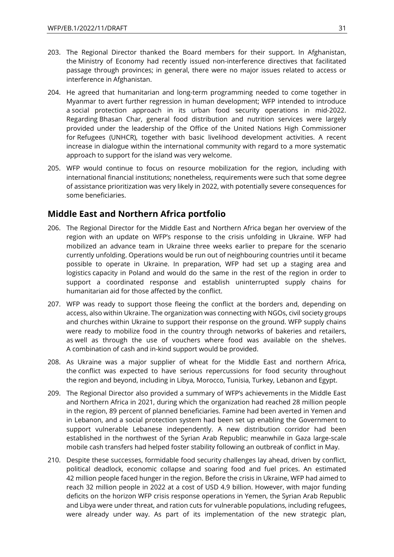- 203. The Regional Director thanked the Board members for their support. In Afghanistan, the Ministry of Economy had recently issued non-interference directives that facilitated passage through provinces; in general, there were no major issues related to access or interference in Afghanistan.
- 204. He agreed that humanitarian and long-term programming needed to come together in Myanmar to avert further regression in human development; WFP intended to introduce a social protection approach in its urban food security operations in mid-2022. Regarding Bhasan Char, general food distribution and nutrition services were largely provided under the leadership of the Office of the United Nations High Commissioner for Refugees (UNHCR), together with basic livelihood development activities. A recent increase in dialogue within the international community with regard to a more systematic approach to support for the island was very welcome.
- 205. WFP would continue to focus on resource mobilization for the region, including with international financial institutions; nonetheless, requirements were such that some degree of assistance prioritization was very likely in 2022, with potentially severe consequences for some beneficiaries.

### <span id="page-30-0"></span>**Middle East and Northern Africa portfolio**

- 206. The Regional Director for the Middle East and Northern Africa began her overview of the region with an update on WFP's response to the crisis unfolding in Ukraine. WFP had mobilized an advance team in Ukraine three weeks earlier to prepare for the scenario currently unfolding. Operations would be run out of neighbouring countries until it became possible to operate in Ukraine. In preparation, WFP had set up a staging area and logistics capacity in Poland and would do the same in the rest of the region in order to support a coordinated response and establish uninterrupted supply chains for humanitarian aid for those affected by the conflict.
- 207. WFP was ready to support those fleeing the conflict at the borders and, depending on access, also within Ukraine. The organization was connecting with NGOs, civil society groups and churches within Ukraine to support their response on the ground. WFP supply chains were ready to mobilize food in the country through networks of bakeries and retailers, as well as through the use of vouchers where food was available on the shelves. A combination of cash and in-kind support would be provided.
- 208. As Ukraine was a major supplier of wheat for the Middle East and northern Africa, the conflict was expected to have serious repercussions for food security throughout the region and beyond, including in Libya, Morocco, Tunisia, Turkey, Lebanon and Egypt.
- 209. The Regional Director also provided a summary of WFP's achievements in the Middle East and Northern Africa in 2021, during which the organization had reached 28 million people in the region, 89 percent of planned beneficiaries. Famine had been averted in Yemen and in Lebanon, and a social protection system had been set up enabling the Government to support vulnerable Lebanese independently. A new distribution corridor had been established in the northwest of the Syrian Arab Republic; meanwhile in Gaza large-scale mobile cash transfers had helped foster stability following an outbreak of conflict in May.
- 210. Despite these successes, formidable food security challenges lay ahead, driven by conflict, political deadlock, economic collapse and soaring food and fuel prices. An estimated 42 million people faced hunger in the region. Before the crisis in Ukraine, WFP had aimed to reach 32 million people in 2022 at a cost of USD 4.9 billion. However, with major funding deficits on the horizon WFP crisis response operations in Yemen, the Syrian Arab Republic and Libya were under threat, and ration cuts for vulnerable populations, including refugees, were already under way. As part of its implementation of the new strategic plan,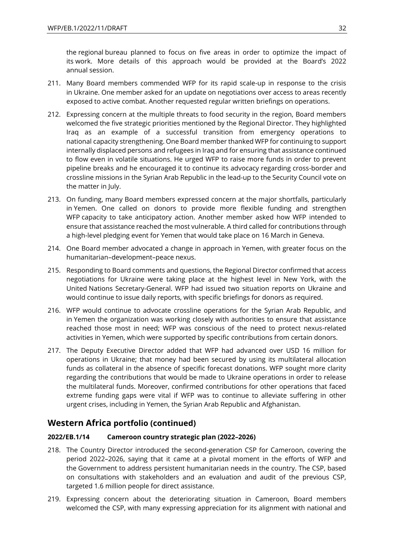the regional bureau planned to focus on five areas in order to optimize the impact of its work. More details of this approach would be provided at the Board's 2022 annual session.

- 211. Many Board members commended WFP for its rapid scale-up in response to the crisis in Ukraine. One member asked for an update on negotiations over access to areas recently exposed to active combat. Another requested regular written briefings on operations.
- 212. Expressing concern at the multiple threats to food security in the region, Board members welcomed the five strategic priorities mentioned by the Regional Director. They highlighted Iraq as an example of a successful transition from emergency operations to national capacity strengthening. One Board member thanked WFP for continuing to support internally displaced persons and refugees in Iraq and for ensuring that assistance continued to flow even in volatile situations. He urged WFP to raise more funds in order to prevent pipeline breaks and he encouraged it to continue its advocacy regarding cross-border and crossline missions in the Syrian Arab Republic in the lead-up to the Security Council vote on the matter in July.
- 213. On funding, many Board members expressed concern at the major shortfalls, particularly in Yemen. One called on donors to provide more flexible funding and strengthen WFP capacity to take anticipatory action. Another member asked how WFP intended to ensure that assistance reached the most vulnerable. A third called for contributions through a high-level pledging event for Yemen that would take place on 16 March in Geneva.
- 214. One Board member advocated a change in approach in Yemen, with greater focus on the humanitarian–development–peace nexus.
- 215. Responding to Board comments and questions, the Regional Director confirmed that access negotiations for Ukraine were taking place at the highest level in New York, with the United Nations Secretary-General. WFP had issued two situation reports on Ukraine and would continue to issue daily reports, with specific briefings for donors as required.
- 216. WFP would continue to advocate crossline operations for the Syrian Arab Republic, and in Yemen the organization was working closely with authorities to ensure that assistance reached those most in need; WFP was conscious of the need to protect nexus-related activities in Yemen, which were supported by specific contributions from certain donors.
- 217. The Deputy Executive Director added that WFP had advanced over USD 16 million for operations in Ukraine; that money had been secured by using its multilateral allocation funds as collateral in the absence of specific forecast donations. WFP sought more clarity regarding the contributions that would be made to Ukraine operations in order to release the multilateral funds. Moreover, confirmed contributions for other operations that faced extreme funding gaps were vital if WFP was to continue to alleviate suffering in other urgent crises, including in Yemen, the Syrian Arab Republic and Afghanistan.

### <span id="page-31-0"></span>**Western Africa portfolio (continued)**

### <span id="page-31-1"></span>**2022/EB.1/14 Cameroon country strategic plan (2022–2026)**

- 218. The Country Director introduced the second-generation CSP for Cameroon, covering the period 2022–2026, saying that it came at a pivotal moment in the efforts of WFP and the Government to address persistent humanitarian needs in the country. The CSP, based on consultations with stakeholders and an evaluation and audit of the previous CSP, targeted 1.6 million people for direct assistance.
- 219. Expressing concern about the deteriorating situation in Cameroon, Board members welcomed the CSP, with many expressing appreciation for its alignment with national and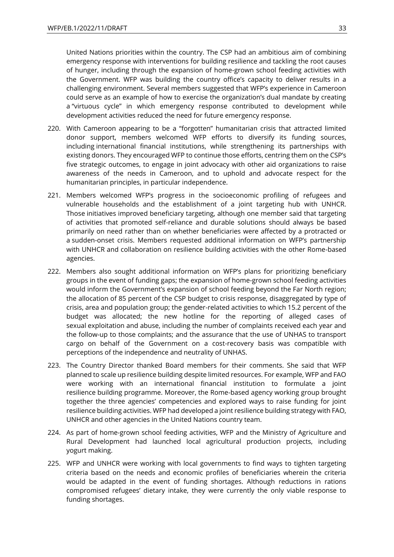United Nations priorities within the country. The CSP had an ambitious aim of combining emergency response with interventions for building resilience and tackling the root causes of hunger, including through the expansion of home-grown school feeding activities with the Government. WFP was building the country office's capacity to deliver results in a challenging environment. Several members suggested that WFP's experience in Cameroon could serve as an example of how to exercise the organization's dual mandate by creating a "virtuous cycle" in which emergency response contributed to development while development activities reduced the need for future emergency response.

- 220. With Cameroon appearing to be a "forgotten" humanitarian crisis that attracted limited donor support, members welcomed WFP efforts to diversify its funding sources, including international financial institutions, while strengthening its partnerships with existing donors. They encouraged WFP to continue those efforts, centring them on the CSP's five strategic outcomes, to engage in joint advocacy with other aid organizations to raise awareness of the needs in Cameroon, and to uphold and advocate respect for the humanitarian principles, in particular independence.
- 221. Members welcomed WFP's progress in the socioeconomic profiling of refugees and vulnerable households and the establishment of a joint targeting hub with UNHCR. Those initiatives improved beneficiary targeting, although one member said that targeting of activities that promoted self-reliance and durable solutions should always be based primarily on need rather than on whether beneficiaries were affected by a protracted or a sudden-onset crisis. Members requested additional information on WFP's partnership with UNHCR and collaboration on resilience building activities with the other Rome-based agencies.
- 222. Members also sought additional information on WFP's plans for prioritizing beneficiary groups in the event of funding gaps; the expansion of home-grown school feeding activities would inform the Government's expansion of school feeding beyond the Far North region; the allocation of 85 percent of the CSP budget to crisis response, disaggregated by type of crisis, area and population group; the gender-related activities to which 15.2 percent of the budget was allocated; the new hotline for the reporting of alleged cases of sexual exploitation and abuse, including the number of complaints received each year and the follow-up to those complaints; and the assurance that the use of UNHAS to transport cargo on behalf of the Government on a cost-recovery basis was compatible with perceptions of the independence and neutrality of UNHAS.
- 223. The Country Director thanked Board members for their comments. She said that WFP planned to scale up resilience building despite limited resources. For example, WFP and FAO were working with an international financial institution to formulate a joint resilience building programme. Moreover, the Rome-based agency working group brought together the three agencies' competencies and explored ways to raise funding for joint resilience building activities. WFP had developed a joint resilience building strategy with FAO, UNHCR and other agencies in the United Nations country team.
- 224. As part of home-grown school feeding activities, WFP and the Ministry of Agriculture and Rural Development had launched local agricultural production projects, including yogurt making.
- 225. WFP and UNHCR were working with local governments to find ways to tighten targeting criteria based on the needs and economic profiles of beneficiaries wherein the criteria would be adapted in the event of funding shortages. Although reductions in rations compromised refugees' dietary intake, they were currently the only viable response to funding shortages.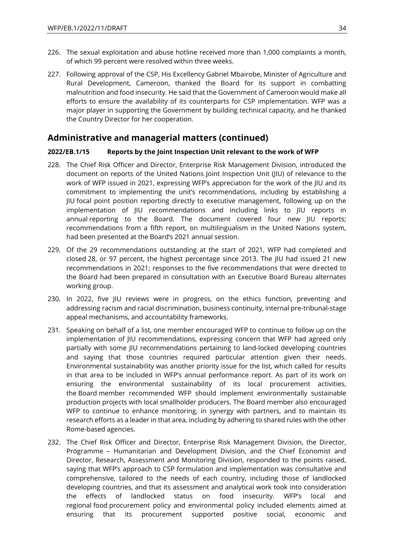- 226. The sexual exploitation and abuse hotline received more than 1,000 complaints a month, of which 99 percent were resolved within three weeks.
- 227. Following approval of the CSP, His Excellency Gabriel Mbairobe, Minister of Agriculture and Rural Development, Cameroon, thanked the Board for its support in combatting malnutrition and food insecurity. He said that the Government of Cameroon would make all efforts to ensure the availability of its counterparts for CSP implementation. WFP was a major player in supporting the Government by building technical capacity, and he thanked the Country Director for her cooperation.

### <span id="page-33-0"></span>**Administrative and managerial matters (continued)**

#### <span id="page-33-1"></span>**2022/EB.1/15 Reports by the Joint Inspection Unit relevant to the work of WFP**

- 228. The Chief Risk Officer and Director, Enterprise Risk Management Division, introduced the document on reports of the United Nations Joint Inspection Unit (JIU) of relevance to the work of WFP issued in 2021, expressing WFP's appreciation for the work of the JIU and its commitment to implementing the unit's recommendations, including by establishing a JIU focal point position reporting directly to executive management, following up on the implementation of JIU recommendations and including links to JIU reports in annual reporting to the Board. The document covered four new JIU reports; recommendations from a fifth report, on multilingualism in the United Nations system, had been presented at the Board's 2021 annual session.
- 229. Of the 29 recommendations outstanding at the start of 2021, WFP had completed and closed 28, or 97 percent, the highest percentage since 2013. The JIU had issued 21 new recommendations in 2021; responses to the five recommendations that were directed to the Board had been prepared in consultation with an Executive Board Bureau alternates working group.
- 230. In 2022, five JIU reviews were in progress, on the ethics function, preventing and addressing racism and racial discrimination, business continuity, internal pre-tribunal-stage appeal mechanisms, and accountability frameworks.
- 231. Speaking on behalf of a list, one member encouraged WFP to continue to follow up on the implementation of JIU recommendations, expressing concern that WFP had agreed only partially with some JIU recommendations pertaining to land-locked developing countries and saying that those countries required particular attention given their needs. Environmental sustainability was another priority issue for the list, which called for results in that area to be included in WFP's annual performance report. As part of its work on ensuring the environmental sustainability of its local procurement activities, the Board member recommended WFP should implement environmentally sustainable production projects with local smallholder producers. The Board member also encouraged WFP to continue to enhance monitoring, in synergy with partners, and to maintain its research efforts as a leader in that area, including by adhering to shared rules with the other Rome-based agencies.
- 232. The Chief Risk Officer and Director, Enterprise Risk Management Division, the Director, Programme – Humanitarian and Development Division, and the Chief Economist and Director, Research, Assessment and Monitoring Division, responded to the points raised, saying that WFP's approach to CSP formulation and implementation was consultative and comprehensive, tailored to the needs of each country, including those of landlocked developing countries, and that its assessment and analytical work took into consideration the effects of landlocked status on food insecurity. WFP's local and regional food procurement policy and environmental policy included elements aimed at ensuring that its procurement supported positive social, economic and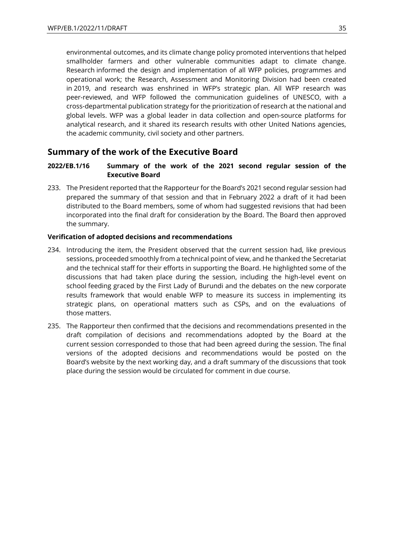environmental outcomes, and its climate change policy promoted interventions that helped smallholder farmers and other vulnerable communities adapt to climate change. Research informed the design and implementation of all WFP policies, programmes and operational work; the Research, Assessment and Monitoring Division had been created in 2019, and research was enshrined in WFP's strategic plan. All WFP research was peer-reviewed, and WFP followed the communication guidelines of UNESCO, with a cross-departmental publication strategy for the prioritization of research at the national and global levels. WFP was a global leader in data collection and open-source platforms for analytical research, and it shared its research results with other United Nations agencies, the academic community, civil society and other partners.

### <span id="page-34-0"></span>**Summary of the work of the Executive Board**

### <span id="page-34-1"></span>**2022/EB.1/16 Summary of the work of the 2021 second regular session of the Executive Board**

233. The President reported that the Rapporteur for the Board's 2021 second regular session had prepared the summary of that session and that in February 2022 a draft of it had been distributed to the Board members, some of whom had suggested revisions that had been incorporated into the final draft for consideration by the Board. The Board then approved the summary.

#### <span id="page-34-2"></span>**Verification of adopted decisions and recommendations**

- 234. Introducing the item, the President observed that the current session had, like previous sessions, proceeded smoothly from a technical point of view, and he thanked the Secretariat and the technical staff for their efforts in supporting the Board. He highlighted some of the discussions that had taken place during the session, including the high-level event on school feeding graced by the First Lady of Burundi and the debates on the new corporate results framework that would enable WFP to measure its success in implementing its strategic plans, on operational matters such as CSPs, and on the evaluations of those matters.
- 235. The Rapporteur then confirmed that the decisions and recommendations presented in the draft compilation of decisions and recommendations adopted by the Board at the current session corresponded to those that had been agreed during the session. The final versions of the adopted decisions and recommendations would be posted on the Board's website by the next working day, and a draft summary of the discussions that took place during the session would be circulated for comment in due course.